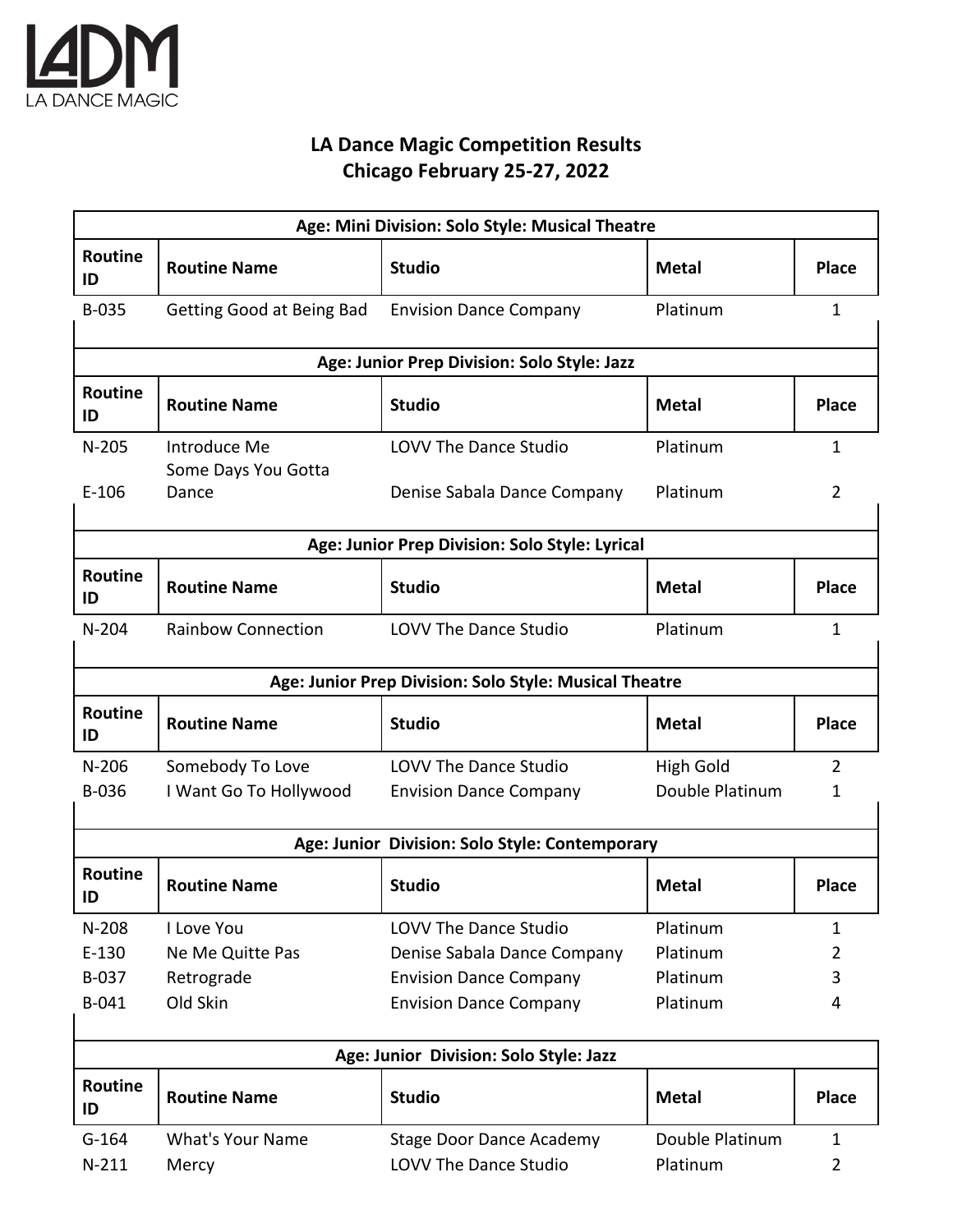

## **LA Dance Magic Competition Results Chicago February 25-27, 2022**

|                      |                              | Age: Mini Division: Solo Style: Musical Theatre        |                  |                |
|----------------------|------------------------------|--------------------------------------------------------|------------------|----------------|
| <b>Routine</b><br>ID | <b>Routine Name</b>          | <b>Studio</b>                                          | <b>Metal</b>     | <b>Place</b>   |
| <b>B-035</b>         | Getting Good at Being Bad    | <b>Envision Dance Company</b>                          | Platinum         | $\mathbf{1}$   |
|                      |                              | Age: Junior Prep Division: Solo Style: Jazz            |                  |                |
| <b>Routine</b><br>ID | <b>Routine Name</b>          | <b>Studio</b>                                          | <b>Metal</b>     | Place          |
| $N-205$              | Introduce Me                 | <b>LOVV The Dance Studio</b>                           | Platinum         | 1              |
| $E-106$              | Some Days You Gotta<br>Dance | Denise Sabala Dance Company                            | Platinum         | $\overline{2}$ |
|                      |                              | Age: Junior Prep Division: Solo Style: Lyrical         |                  |                |
| <b>Routine</b><br>ID | <b>Routine Name</b>          | <b>Studio</b>                                          | <b>Metal</b>     | <b>Place</b>   |
| $N-204$              | <b>Rainbow Connection</b>    | <b>LOVV The Dance Studio</b>                           | Platinum         | $\mathbf{1}$   |
|                      |                              | Age: Junior Prep Division: Solo Style: Musical Theatre |                  |                |
| <b>Routine</b><br>ID | <b>Routine Name</b>          | <b>Studio</b>                                          | <b>Metal</b>     | Place          |
| $N-206$              | Somebody To Love             | <b>LOVV The Dance Studio</b>                           | <b>High Gold</b> | $\overline{2}$ |
| B-036                | I Want Go To Hollywood       | <b>Envision Dance Company</b>                          | Double Platinum  | 1              |
|                      |                              | Age: Junior Division: Solo Style: Contemporary         |                  |                |
| <b>Routine</b><br>ID | <b>Routine Name</b>          | <b>Studio</b>                                          | <b>Metal</b>     | <b>Place</b>   |
| $N-208$              | I Love You                   | <b>LOVV The Dance Studio</b>                           | Platinum         | 1              |
| $E-130$              | Ne Me Quitte Pas             | Denise Sabala Dance Company                            | Platinum         | 2              |
| B-037                | Retrograde                   | <b>Envision Dance Company</b>                          | Platinum         | 3              |
| B-041                | Old Skin                     | <b>Envision Dance Company</b>                          | Platinum         | 4              |
|                      |                              | Age: Junior Division: Solo Style: Jazz                 |                  |                |
| Routine<br>ID        | <b>Routine Name</b>          | <b>Studio</b>                                          | <b>Metal</b>     | <b>Place</b>   |
| $G-164$              | <b>What's Your Name</b>      | <b>Stage Door Dance Academy</b>                        | Double Platinum  | $\mathbf{1}$   |
| $N-211$              | Mercy                        | <b>LOVV The Dance Studio</b>                           | Platinum         | $\overline{2}$ |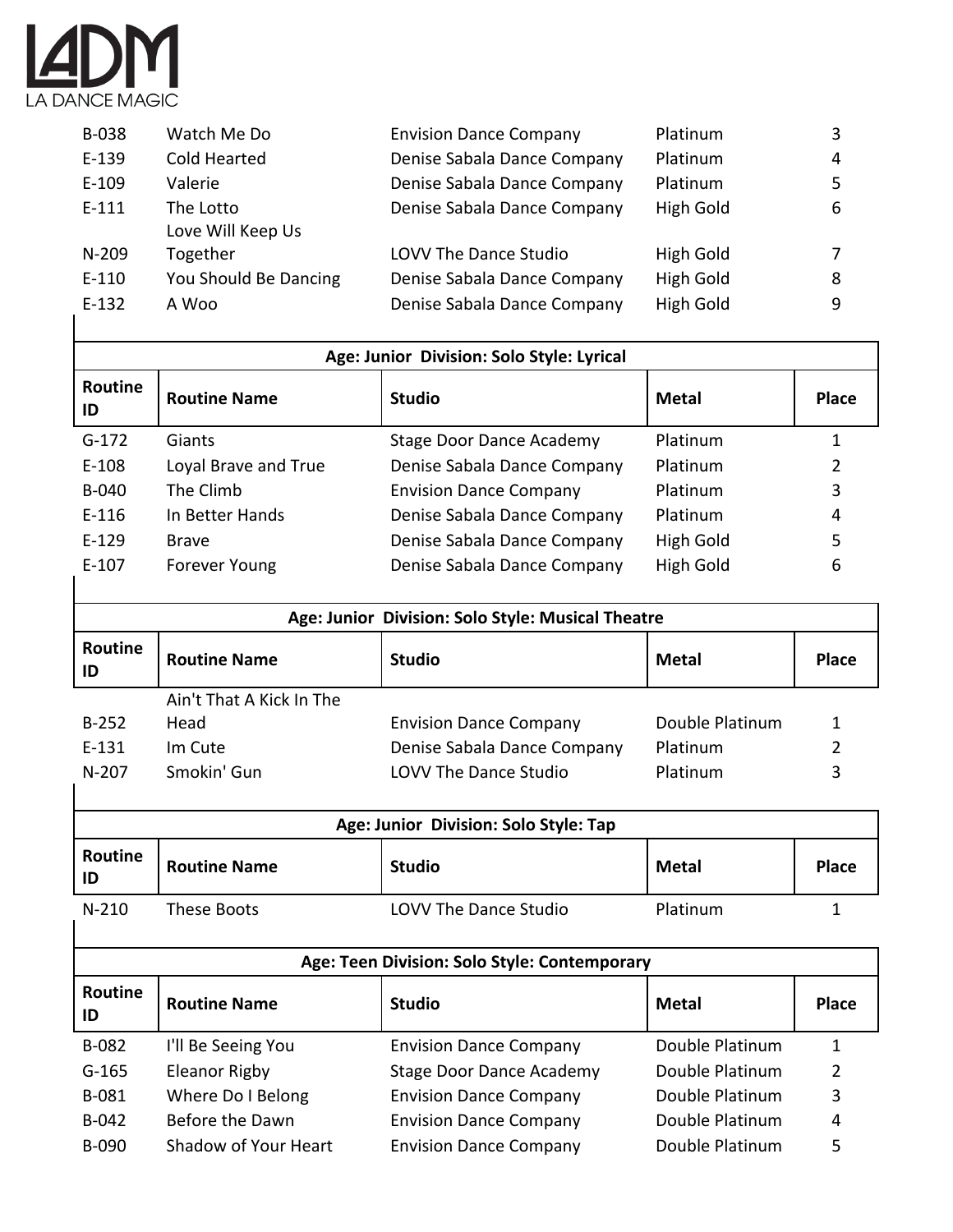

| <b>B-038</b> | Watch Me Do           | <b>Envision Dance Company</b> | Platinum         |   |
|--------------|-----------------------|-------------------------------|------------------|---|
| $E-139$      | Cold Hearted          | Denise Sabala Dance Company   | Platinum         | 4 |
| $E-109$      | Valerie               | Denise Sabala Dance Company   | Platinum         |   |
| $E-111$      | The Lotto             | Denise Sabala Dance Company   | High Gold        | 6 |
|              | Love Will Keep Us     |                               |                  |   |
| $N-209$      | Together              | <b>LOVV The Dance Studio</b>  | High Gold        |   |
| $E-110$      | You Should Be Dancing | Denise Sabala Dance Company   | <b>High Gold</b> | 8 |
| $E-132$      | A Woo                 | Denise Sabala Dance Company   | <b>High Gold</b> | q |
|              |                       |                               |                  |   |

| Age: Junior Division: Solo Style: Lyrical |                      |                               |              |       |
|-------------------------------------------|----------------------|-------------------------------|--------------|-------|
| Routine<br>ID                             | <b>Routine Name</b>  | <b>Studio</b>                 | <b>Metal</b> | Place |
| $G-172$                                   | Giants               | Stage Door Dance Academy      | Platinum     |       |
| $E-108$                                   | Loyal Brave and True | Denise Sabala Dance Company   | Platinum     | 2     |
| B-040                                     | The Climb            | <b>Envision Dance Company</b> | Platinum     | 3     |
| $E-116$                                   | In Better Hands      | Denise Sabala Dance Company   | Platinum     | 4     |
| $E-129$                                   | <b>Brave</b>         | Denise Sabala Dance Company   | High Gold    | 5     |
| $E-107$                                   | <b>Forever Young</b> | Denise Sabala Dance Company   | High Gold    | 6     |

| Age: Junior Division: Solo Style: Musical Theatre |                          |                               |                 |              |
|---------------------------------------------------|--------------------------|-------------------------------|-----------------|--------------|
| Routine<br>ID                                     | <b>Routine Name</b>      | <b>Studio</b>                 | <b>Metal</b>    | <b>Place</b> |
|                                                   | Ain't That A Kick In The |                               |                 |              |
| $B-252$                                           | Head                     | <b>Envision Dance Company</b> | Double Platinum | 1            |
| $E-131$                                           | Im Cute                  | Denise Sabala Dance Company   | Platinum        |              |
| $N-207$                                           | Smokin' Gun              | <b>LOVV The Dance Studio</b>  | Platinum        | 3            |
|                                                   |                          |                               |                 |              |

|               | Age: Junior Division: Solo Style: Tap |                              |                 |              |
|---------------|---------------------------------------|------------------------------|-----------------|--------------|
| Routine<br>ID | <b>Routine Name</b>                   | <b>Studio</b>                | Metal           | <b>Place</b> |
| $N-210$       | These Boots                           | <b>LOVV The Dance Studio</b> | <b>Platinum</b> |              |

|               | Age: Teen Division: Solo Style: Contemporary |                                 |                 |              |
|---------------|----------------------------------------------|---------------------------------|-----------------|--------------|
| Routine<br>ID | <b>Routine Name</b>                          | <b>Studio</b>                   | <b>Metal</b>    | <b>Place</b> |
| B-082         | I'll Be Seeing You                           | <b>Envision Dance Company</b>   | Double Platinum |              |
| $G-165$       | <b>Eleanor Rigby</b>                         | <b>Stage Door Dance Academy</b> | Double Platinum |              |
| B-081         | Where Do I Belong                            | <b>Envision Dance Company</b>   | Double Platinum | 3            |
| $B-042$       | Before the Dawn                              | <b>Envision Dance Company</b>   | Double Platinum | 4            |
| B-090         | Shadow of Your Heart                         | <b>Envision Dance Company</b>   | Double Platinum |              |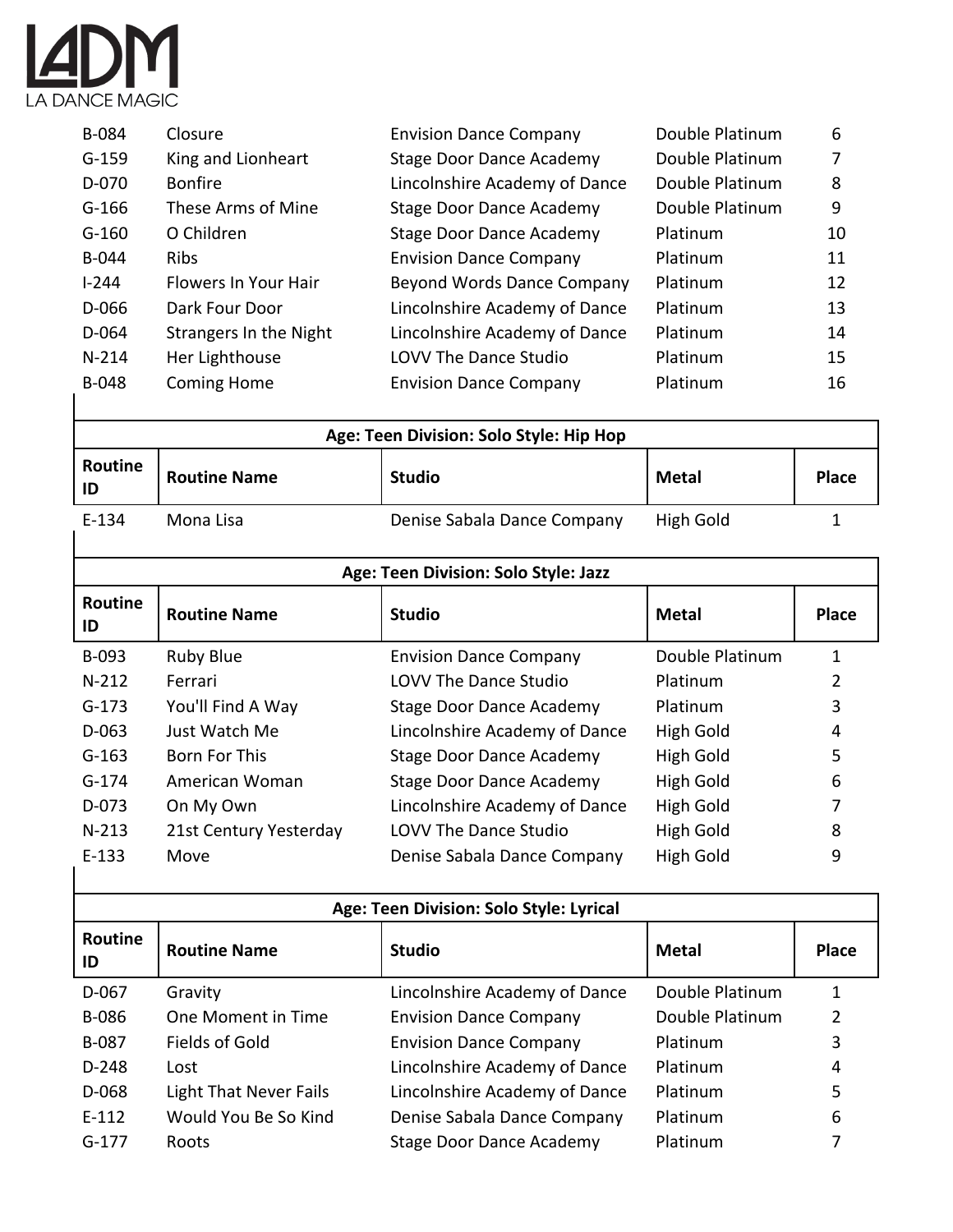

| B-084     | Closure                | <b>Envision Dance Company</b>   | Double Platinum | 6  |
|-----------|------------------------|---------------------------------|-----------------|----|
| $G-159$   | King and Lionheart     | <b>Stage Door Dance Academy</b> | Double Platinum |    |
| D-070     | <b>Bonfire</b>         | Lincolnshire Academy of Dance   | Double Platinum | 8  |
| $G-166$   | These Arms of Mine     | <b>Stage Door Dance Academy</b> | Double Platinum | 9  |
| $G-160$   | O Children             | <b>Stage Door Dance Academy</b> | Platinum        | 10 |
| B-044     | <b>Ribs</b>            | <b>Envision Dance Company</b>   | Platinum        | 11 |
| $1 - 244$ | Flowers In Your Hair   | Beyond Words Dance Company      | Platinum        | 12 |
| D-066     | Dark Four Door         | Lincolnshire Academy of Dance   | Platinum        | 13 |
| D-064     | Strangers In the Night | Lincolnshire Academy of Dance   | Platinum        | 14 |
| $N-214$   | Her Lighthouse         | <b>LOVV The Dance Studio</b>    | Platinum        | 15 |
| B-048     | <b>Coming Home</b>     | <b>Envision Dance Company</b>   | Platinum        | 16 |

|               |                     | Age: Teen Division: Solo Style: Hip Hop |           |              |
|---------------|---------------------|-----------------------------------------|-----------|--------------|
| Routine<br>ID | <b>Routine Name</b> | <b>Studio</b>                           | Metal     | <b>Place</b> |
| E-134         | Mona Lisa           | Denise Sabala Dance Company             | High Gold |              |

|                      | Age: Teen Division: Solo Style: Jazz |                               |                  |       |
|----------------------|--------------------------------------|-------------------------------|------------------|-------|
| <b>Routine</b><br>ID | <b>Routine Name</b>                  | <b>Studio</b>                 | <b>Metal</b>     | Place |
| B-093                | <b>Ruby Blue</b>                     | <b>Envision Dance Company</b> | Double Platinum  | 1     |
| $N-212$              | Ferrari                              | <b>LOVV The Dance Studio</b>  | Platinum         | 2     |
| $G-173$              | You'll Find A Way                    | Stage Door Dance Academy      | <b>Platinum</b>  | 3     |
| D-063                | Just Watch Me                        | Lincolnshire Academy of Dance | High Gold        | 4     |
| $G-163$              | <b>Born For This</b>                 | Stage Door Dance Academy      | High Gold        | 5     |
| $G-174$              | American Woman                       | Stage Door Dance Academy      | High Gold        | 6     |
| D-073                | On My Own                            | Lincolnshire Academy of Dance | High Gold        | 7     |
| $N-213$              | 21st Century Yesterday               | LOVV The Dance Studio         | High Gold        | 8     |
| E-133                | Move                                 | Denise Sabala Dance Company   | <b>High Gold</b> | 9     |

|               | Age: Teen Division: Solo Style: Lyrical |                                 |                 |       |
|---------------|-----------------------------------------|---------------------------------|-----------------|-------|
| Routine<br>ID | <b>Routine Name</b>                     | <b>Studio</b>                   | <b>Metal</b>    | Place |
| D-067         | Gravity                                 | Lincolnshire Academy of Dance   | Double Platinum |       |
| <b>B-086</b>  | One Moment in Time                      | <b>Envision Dance Company</b>   | Double Platinum | 2     |
| B-087         | Fields of Gold                          | <b>Envision Dance Company</b>   | Platinum        | 3     |
| $D-248$       | Lost                                    | Lincolnshire Academy of Dance   | Platinum        | 4     |
| D-068         | <b>Light That Never Fails</b>           | Lincolnshire Academy of Dance   | Platinum        | 5     |
| $E-112$       | Would You Be So Kind                    | Denise Sabala Dance Company     | Platinum        | 6     |
| $G-177$       | Roots                                   | <b>Stage Door Dance Academy</b> | Platinum        |       |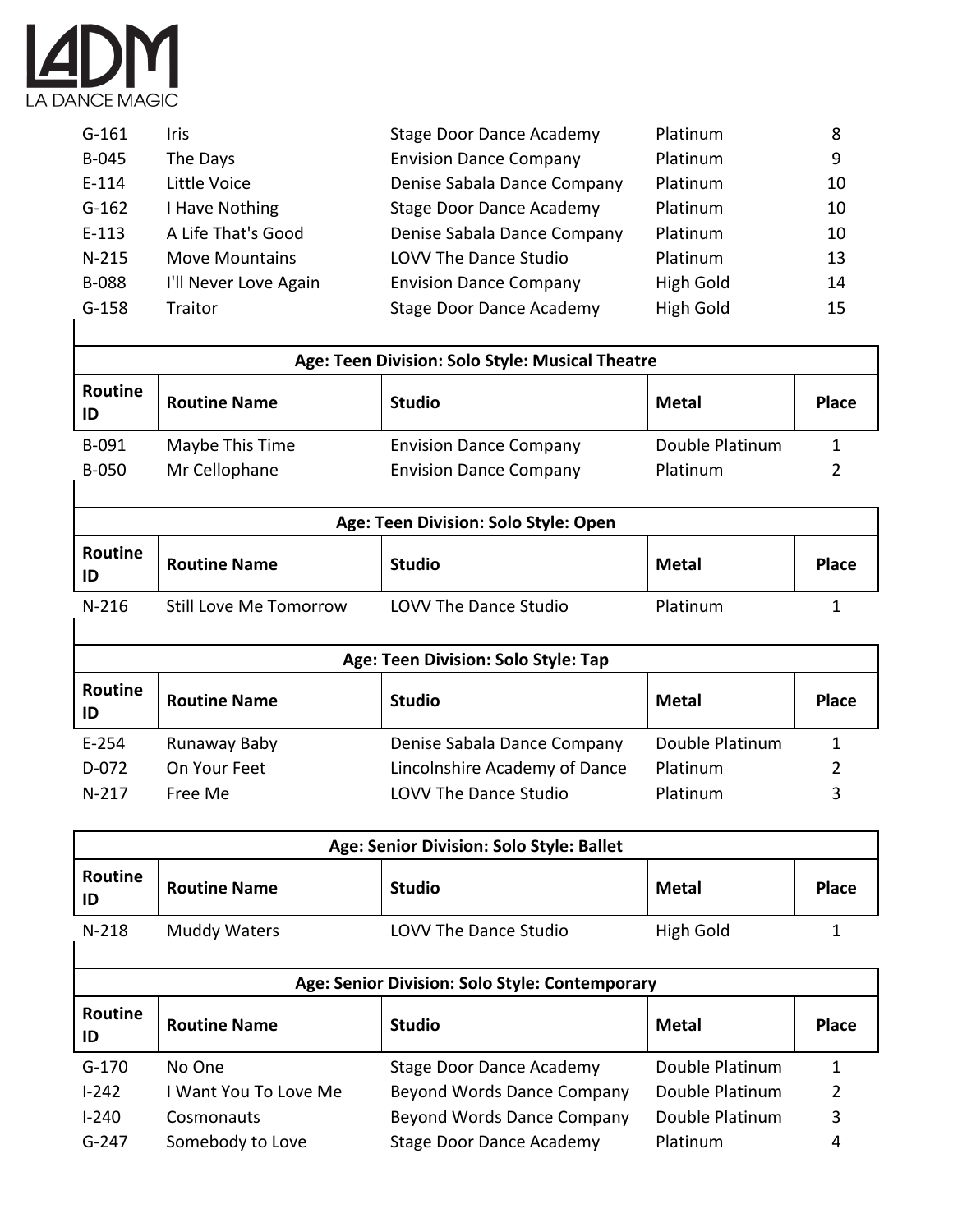

| $G-161$ | Iris                  | <b>Stage Door Dance Academy</b> | Platinum  | 8  |
|---------|-----------------------|---------------------------------|-----------|----|
| B-045   | The Days              | <b>Envision Dance Company</b>   | Platinum  | 9  |
| $E-114$ | Little Voice          | Denise Sabala Dance Company     | Platinum  | 10 |
| $G-162$ | I Have Nothing        | <b>Stage Door Dance Academy</b> | Platinum  | 10 |
| $E-113$ | A Life That's Good    | Denise Sabala Dance Company     | Platinum  | 10 |
| $N-215$ | <b>Move Mountains</b> | LOVV The Dance Studio           | Platinum  | 13 |
| B-088   | I'll Never Love Again | <b>Envision Dance Company</b>   | High Gold | 14 |
| $G-158$ | <b>Traitor</b>        | <b>Stage Door Dance Academy</b> | High Gold | 15 |

|               | Age: Teen Division: Solo Style: Musical Theatre |                               |                 |              |  |
|---------------|-------------------------------------------------|-------------------------------|-----------------|--------------|--|
| Routine<br>ID | <b>Routine Name</b>                             | <b>Studio</b>                 | Metal           | <b>Place</b> |  |
| B-091         | Maybe This Time                                 | <b>Envision Dance Company</b> | Double Platinum |              |  |
| <b>B-050</b>  | Mr Cellophane                                   | <b>Envision Dance Company</b> | Platinum        |              |  |

|               | Age: Teen Division: Solo Style: Open |                              |          |              |  |  |
|---------------|--------------------------------------|------------------------------|----------|--------------|--|--|
| Routine<br>ID | <b>Routine Name</b>                  | <b>Studio</b>                | Metal    | <b>Place</b> |  |  |
| $N-216$       | Still Love Me Tomorrow               | <b>LOVV The Dance Studio</b> | Platinum |              |  |  |

| Age: Teen Division: Solo Style: Tap |                     |                               |                 |              |
|-------------------------------------|---------------------|-------------------------------|-----------------|--------------|
| Routine<br>ID                       | <b>Routine Name</b> | <b>Studio</b>                 | Metal           | <b>Place</b> |
| $E-254$                             | Runaway Baby        | Denise Sabala Dance Company   | Double Platinum |              |
| D-072                               | On Your Feet        | Lincolnshire Academy of Dance | Platinum        |              |
| $N-217$                             | Free Me             | <b>LOVV The Dance Studio</b>  | Platinum        |              |

| Age: Senior Division: Solo Style: Ballet |                     |                       |              |              |  |
|------------------------------------------|---------------------|-----------------------|--------------|--------------|--|
| Routine<br>ID                            | <b>Routine Name</b> | <b>Studio</b>         | <b>Metal</b> | <b>Place</b> |  |
| $N-218$                                  | <b>Muddy Waters</b> | LOVV The Dance Studio | High Gold    |              |  |

| Age: Senior Division: Solo Style: Contemporary |                       |                            |                 |               |  |
|------------------------------------------------|-----------------------|----------------------------|-----------------|---------------|--|
| Routine<br>ID                                  | <b>Routine Name</b>   | <b>Studio</b>              | <b>Metal</b>    | <b>Place</b>  |  |
| $G-170$                                        | No One                | Stage Door Dance Academy   | Double Platinum |               |  |
| $1 - 242$                                      | I Want You To Love Me | Beyond Words Dance Company | Double Platinum | $\mathcal{P}$ |  |
| $I - 240$                                      | Cosmonauts            | Beyond Words Dance Company | Double Platinum | 3             |  |
| $G-247$                                        | Somebody to Love      | Stage Door Dance Academy   | Platinum        | 4             |  |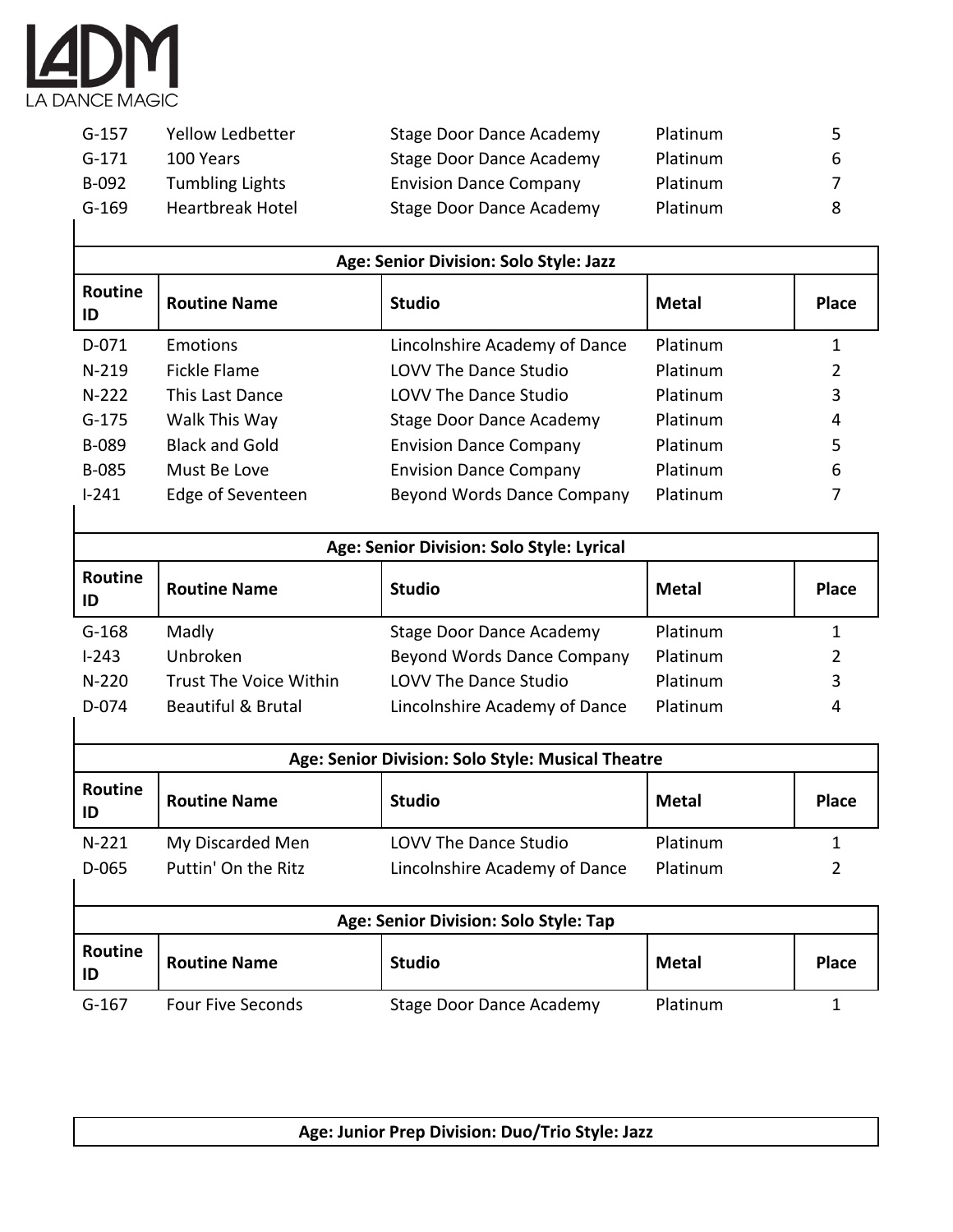

| G-157 | Yellow Ledbetter        | Stage Door Dance Academy      | Platinum | 5. |
|-------|-------------------------|-------------------------------|----------|----|
| G-171 | 100 Years               | Stage Door Dance Academy      | Platinum | 6. |
| B-092 | <b>Tumbling Lights</b>  | <b>Envision Dance Company</b> | Platinum |    |
| G-169 | <b>Heartbreak Hotel</b> | Stage Door Dance Academy      | Platinum |    |

|                                                                                       |                       | Age: Senior Division: Solo Style: Jazz |          |   |  |
|---------------------------------------------------------------------------------------|-----------------------|----------------------------------------|----------|---|--|
| Routine<br><b>Routine Name</b><br><b>Studio</b><br><b>Metal</b><br><b>Place</b><br>ID |                       |                                        |          |   |  |
| $D-071$                                                                               | <b>Emotions</b>       | Lincolnshire Academy of Dance          | Platinum |   |  |
| $N-219$                                                                               | <b>Fickle Flame</b>   | <b>LOVV The Dance Studio</b>           | Platinum | 2 |  |
| $N-222$                                                                               | This Last Dance       | <b>LOVV The Dance Studio</b>           | Platinum | 3 |  |
| $G-175$                                                                               | Walk This Way         | <b>Stage Door Dance Academy</b>        | Platinum | 4 |  |
| <b>B-089</b>                                                                          | <b>Black and Gold</b> | <b>Envision Dance Company</b>          | Platinum | 5 |  |
| B-085                                                                                 | Must Be Love          | <b>Envision Dance Company</b>          | Platinum | 6 |  |
| $1 - 241$                                                                             | Edge of Seventeen     | Beyond Words Dance Company             | Platinum | 7 |  |

| Age: Senior Division: Solo Style: Lyrical |                               |                                 |              |       |
|-------------------------------------------|-------------------------------|---------------------------------|--------------|-------|
| Routine<br>ID                             | <b>Routine Name</b>           | <b>Studio</b>                   | <b>Metal</b> | Place |
| $G-168$                                   | Madly                         | <b>Stage Door Dance Academy</b> | Platinum     |       |
| $1 - 243$                                 | Unbroken                      | Beyond Words Dance Company      | Platinum     |       |
| $N-220$                                   | Trust The Voice Within        | <b>LOVV The Dance Studio</b>    | Platinum     | 3     |
| $D-074$                                   | <b>Beautiful &amp; Brutal</b> | Lincolnshire Academy of Dance   | Platinum     | 4     |
|                                           |                               |                                 |              |       |

| Age: Senior Division: Solo Style: Musical Theatre |                     |                               |                 |              |
|---------------------------------------------------|---------------------|-------------------------------|-----------------|--------------|
| Routine<br>ID                                     | <b>Routine Name</b> | <b>Studio</b>                 | <b>Metal</b>    | <b>Place</b> |
| $N-221$                                           | My Discarded Men    | <b>LOVV The Dance Studio</b>  | Platinum        |              |
| D-065                                             | Puttin' On the Ritz | Lincolnshire Academy of Dance | <b>Platinum</b> |              |

| Age: Senior Division: Solo Style: Tap |                          |                          |          |              |  |
|---------------------------------------|--------------------------|--------------------------|----------|--------------|--|
| Routine<br>ID                         | <b>Routine Name</b>      | <b>Studio</b>            | Metal    | <b>Place</b> |  |
| $G-167$                               | <b>Four Five Seconds</b> | Stage Door Dance Academy | Platinum |              |  |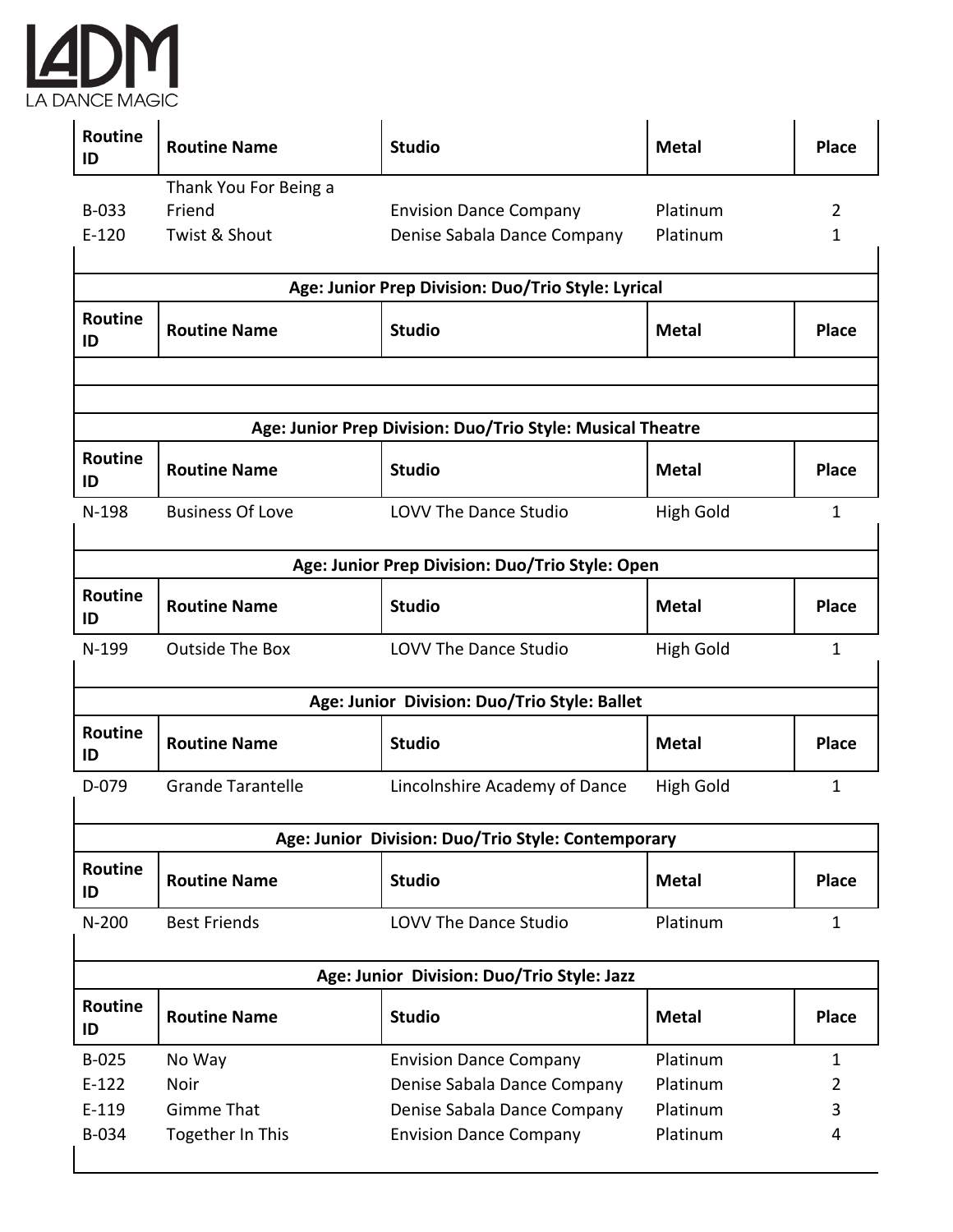

| <b>Routine</b><br>ID | <b>Routine Name</b>                              | <b>Studio</b>                                                | <b>Metal</b>         | <b>Place</b> |  |  |
|----------------------|--------------------------------------------------|--------------------------------------------------------------|----------------------|--------------|--|--|
| B-033<br>$E-120$     | Thank You For Being a<br>Friend<br>Twist & Shout | <b>Envision Dance Company</b><br>Denise Sabala Dance Company | Platinum<br>Platinum | 2<br>1       |  |  |
|                      |                                                  | Age: Junior Prep Division: Duo/Trio Style: Lyrical           |                      |              |  |  |
| Routine<br>ID        | <b>Routine Name</b>                              | <b>Studio</b>                                                | <b>Metal</b>         | <b>Place</b> |  |  |
|                      |                                                  | Age: Junior Prep Division: Duo/Trio Style: Musical Theatre   |                      |              |  |  |
| <b>Routine</b><br>ID | <b>Routine Name</b>                              | <b>Studio</b>                                                | <b>Metal</b>         | <b>Place</b> |  |  |
| $N-198$              | <b>Business Of Love</b>                          | <b>LOVV The Dance Studio</b>                                 | <b>High Gold</b>     | 1            |  |  |
|                      |                                                  | Age: Junior Prep Division: Duo/Trio Style: Open              |                      |              |  |  |
| <b>Routine</b><br>ID | <b>Routine Name</b>                              | <b>Studio</b>                                                | <b>Metal</b>         | <b>Place</b> |  |  |
| N-199                | <b>Outside The Box</b>                           | <b>LOVV The Dance Studio</b>                                 | <b>High Gold</b>     | 1            |  |  |
|                      |                                                  | Age: Junior Division: Duo/Trio Style: Ballet                 |                      |              |  |  |
| <b>Routine</b><br>ID | <b>Routine Name</b>                              | <b>Studio</b>                                                | <b>Metal</b>         | Place        |  |  |
| D-079                | <b>Grande Tarantelle</b>                         | Lincolnshire Academy of Dance                                | <b>High Gold</b>     | 1            |  |  |
|                      |                                                  | Age: Junior Division: Duo/Trio Style: Contemporary           |                      |              |  |  |
| Routine<br>ID        | <b>Routine Name</b>                              | <b>Studio</b>                                                | <b>Metal</b>         | <b>Place</b> |  |  |
| $N-200$              | <b>Best Friends</b>                              | <b>LOVV The Dance Studio</b>                                 | Platinum             | $\mathbf{1}$ |  |  |
|                      | Age: Junior Division: Duo/Trio Style: Jazz       |                                                              |                      |              |  |  |
| Routine<br>ID        | <b>Routine Name</b>                              | <b>Studio</b>                                                | <b>Metal</b>         | <b>Place</b> |  |  |
| B-025                | No Way                                           | <b>Envision Dance Company</b>                                | Platinum             | 1            |  |  |
| $E-122$              | Noir                                             | Denise Sabala Dance Company                                  | Platinum             | 2            |  |  |
| $E-119$              | <b>Gimme That</b>                                | Denise Sabala Dance Company                                  | Platinum             | 3            |  |  |
| B-034                | Together In This                                 | <b>Envision Dance Company</b>                                | Platinum             | 4            |  |  |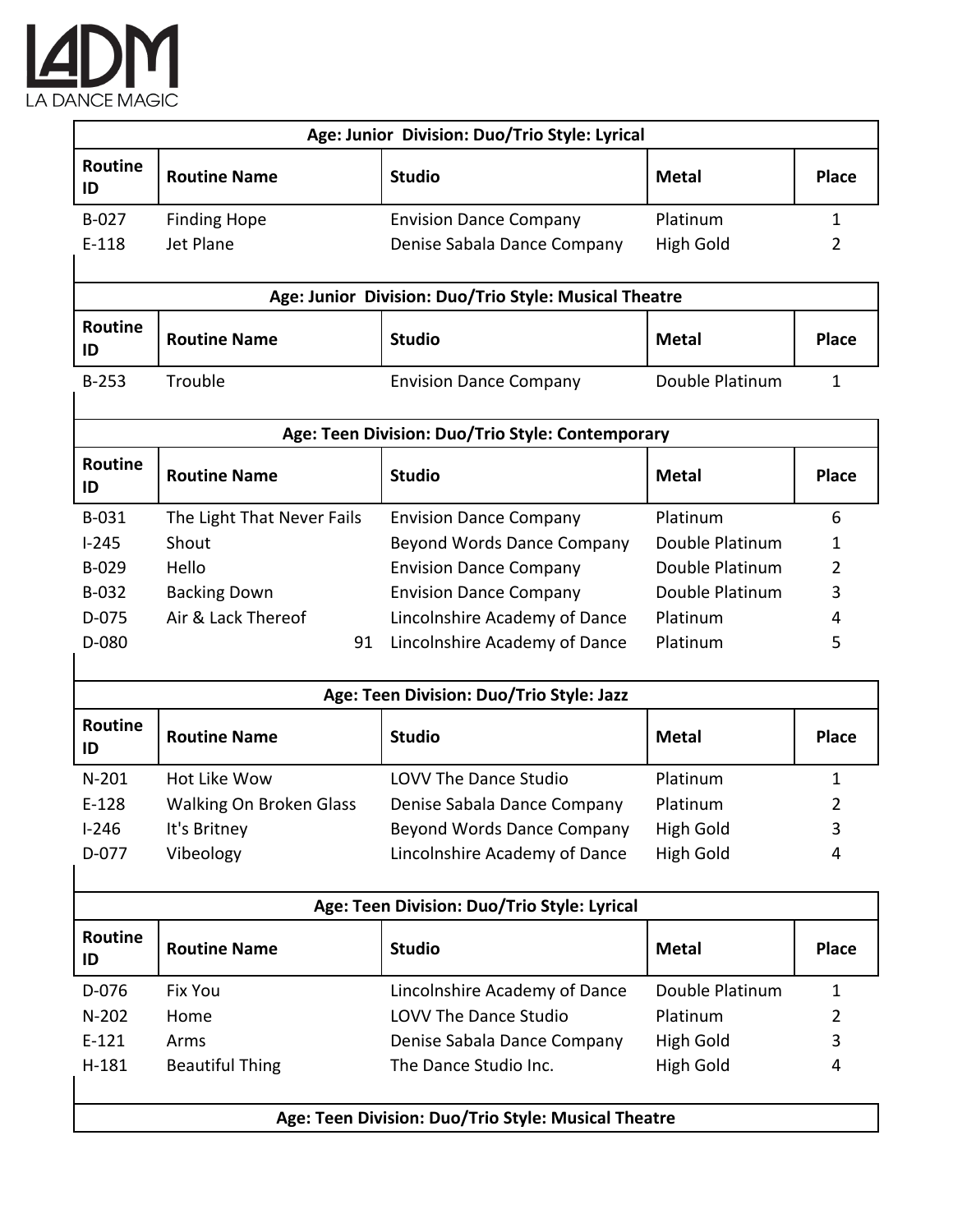

| Age: Junior Division: Duo/Trio Style: Lyrical         |                                |                                                     |                  |                |  |  |
|-------------------------------------------------------|--------------------------------|-----------------------------------------------------|------------------|----------------|--|--|
| Routine<br>ID                                         | <b>Routine Name</b>            | <b>Studio</b>                                       | <b>Metal</b>     | <b>Place</b>   |  |  |
| $B-027$                                               | <b>Finding Hope</b>            | <b>Envision Dance Company</b>                       | Platinum         | $\mathbf{1}$   |  |  |
| $E-118$                                               | Jet Plane                      | Denise Sabala Dance Company                         | <b>High Gold</b> | 2              |  |  |
| Age: Junior Division: Duo/Trio Style: Musical Theatre |                                |                                                     |                  |                |  |  |
| <b>Routine</b><br>ID                                  | <b>Routine Name</b>            | <b>Studio</b>                                       | <b>Metal</b>     | <b>Place</b>   |  |  |
| $B-253$                                               | Trouble                        | <b>Envision Dance Company</b>                       | Double Platinum  | $\mathbf{1}$   |  |  |
|                                                       |                                | Age: Teen Division: Duo/Trio Style: Contemporary    |                  |                |  |  |
| <b>Routine</b><br>ID                                  | <b>Routine Name</b>            | <b>Studio</b>                                       | <b>Metal</b>     | <b>Place</b>   |  |  |
| B-031                                                 | The Light That Never Fails     | <b>Envision Dance Company</b>                       | Platinum         | 6              |  |  |
| $1 - 245$                                             | Shout                          | Beyond Words Dance Company                          | Double Platinum  | 1              |  |  |
| B-029                                                 | Hello                          | <b>Envision Dance Company</b>                       | Double Platinum  | $\overline{2}$ |  |  |
| B-032                                                 | <b>Backing Down</b>            | <b>Envision Dance Company</b>                       | Double Platinum  | 3              |  |  |
| $D-075$                                               | Air & Lack Thereof             | Lincolnshire Academy of Dance                       | Platinum         | 4              |  |  |
| D-080                                                 | 91                             | Lincolnshire Academy of Dance                       | Platinum         | 5              |  |  |
|                                                       |                                | Age: Teen Division: Duo/Trio Style: Jazz            |                  |                |  |  |
| Routine<br>ID                                         | <b>Routine Name</b>            | <b>Studio</b>                                       | <b>Metal</b>     | <b>Place</b>   |  |  |
| $N-201$                                               | Hot Like Wow                   | <b>LOVV The Dance Studio</b>                        | Platinum         | $\mathbf{1}$   |  |  |
| $E-128$                                               | <b>Walking On Broken Glass</b> | Denise Sabala Dance Company                         | Platinum         | 2              |  |  |
| $1 - 246$                                             | It's Britney                   | Beyond Words Dance Company                          | <b>High Gold</b> | 3              |  |  |
| $D-077$                                               | Vibeology                      | Lincolnshire Academy of Dance                       | <b>High Gold</b> | 4              |  |  |
|                                                       |                                | Age: Teen Division: Duo/Trio Style: Lyrical         |                  |                |  |  |
| Routine<br>ID                                         | <b>Routine Name</b>            | <b>Studio</b>                                       | <b>Metal</b>     | <b>Place</b>   |  |  |
| D-076                                                 | <b>Fix You</b>                 | Lincolnshire Academy of Dance                       | Double Platinum  | 1              |  |  |
| $N-202$                                               | Home                           | LOVV The Dance Studio                               | Platinum         | 2              |  |  |
| $E-121$                                               | Arms                           | Denise Sabala Dance Company                         | <b>High Gold</b> | 3              |  |  |
| $H-181$                                               | <b>Beautiful Thing</b>         | The Dance Studio Inc.                               | <b>High Gold</b> | 4              |  |  |
|                                                       |                                | Age: Teen Division: Duo/Trio Style: Musical Theatre |                  |                |  |  |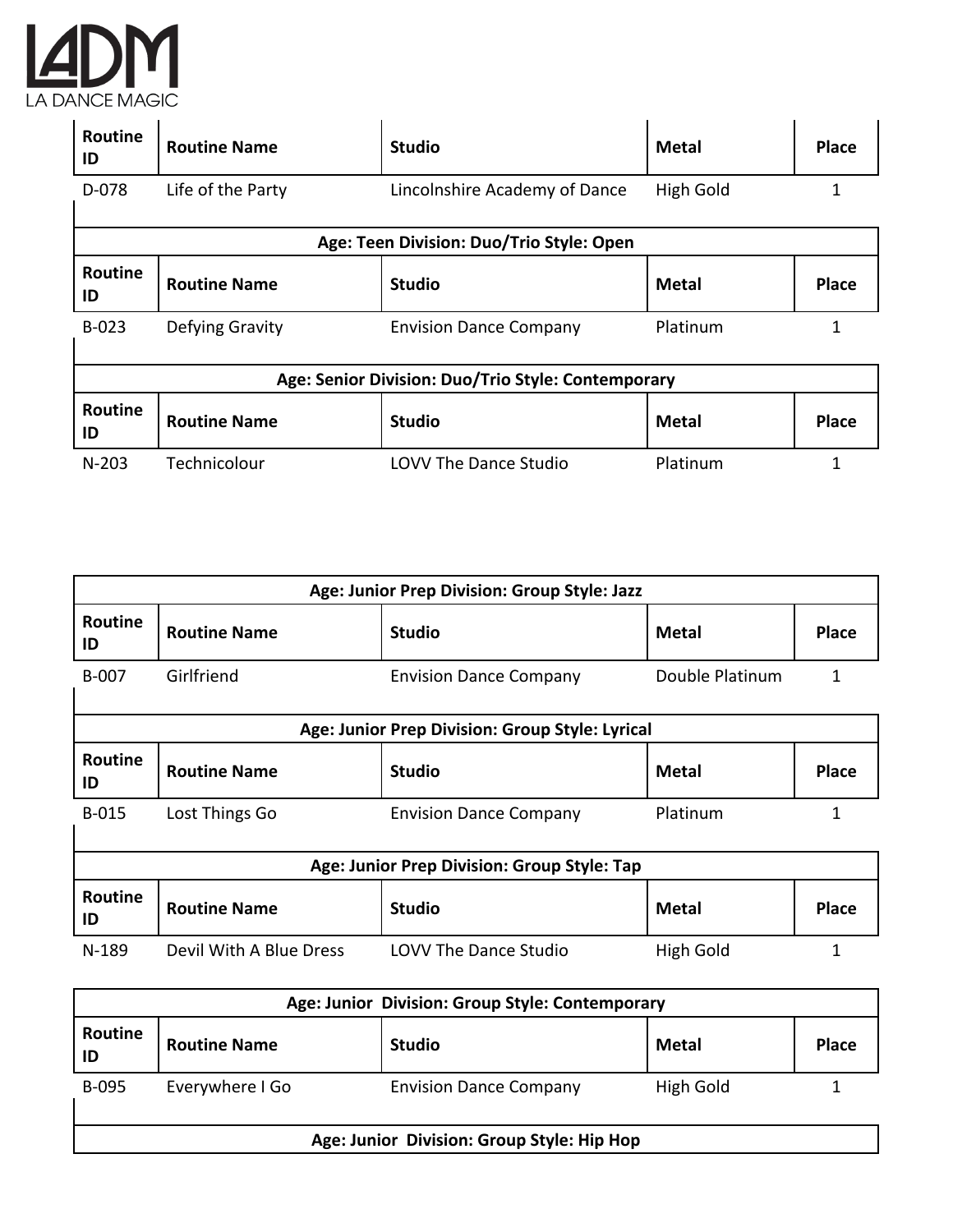

| Routine<br>ID | <b>Routine Name</b> | <b>Studio</b>                                      | <b>Metal</b> | <b>Place</b> |
|---------------|---------------------|----------------------------------------------------|--------------|--------------|
| D-078         | Life of the Party   | Lincolnshire Academy of Dance                      | High Gold    |              |
|               |                     | Age: Teen Division: Duo/Trio Style: Open           |              |              |
| Routine<br>ID | <b>Routine Name</b> | <b>Studio</b>                                      | <b>Metal</b> | <b>Place</b> |
| $B-023$       | Defying Gravity     | <b>Envision Dance Company</b>                      | Platinum     | 1            |
|               |                     | Age: Senior Division: Duo/Trio Style: Contemporary |              |              |
| Routine<br>ID | <b>Routine Name</b> | <b>Studio</b>                                      | <b>Metal</b> | <b>Place</b> |
| $N-203$       | Technicolour        | <b>LOVV The Dance Studio</b>                       | Platinum     |              |

j.

| Age: Junior Prep Division: Group Style: Jazz |                         |                                                 |                  |              |
|----------------------------------------------|-------------------------|-------------------------------------------------|------------------|--------------|
| Routine<br>ID                                | <b>Routine Name</b>     | <b>Studio</b>                                   | <b>Metal</b>     | <b>Place</b> |
| B-007                                        | Girlfriend              | <b>Envision Dance Company</b>                   | Double Platinum  | 1            |
|                                              |                         | Age: Junior Prep Division: Group Style: Lyrical |                  |              |
| Routine<br>ID                                | <b>Routine Name</b>     | <b>Studio</b>                                   | <b>Metal</b>     | <b>Place</b> |
| B-015                                        | Lost Things Go          | <b>Envision Dance Company</b>                   | Platinum         | 1            |
|                                              |                         | Age: Junior Prep Division: Group Style: Tap     |                  |              |
| <b>Routine</b><br>ID                         | <b>Routine Name</b>     | <b>Studio</b>                                   | <b>Metal</b>     | <b>Place</b> |
| $N-189$                                      | Devil With A Blue Dress | <b>LOVV The Dance Studio</b>                    | <b>High Gold</b> | 1            |

| Age: Junior Division: Group Style: Contemporary |                                                               |                               |           |  |  |  |  |
|-------------------------------------------------|---------------------------------------------------------------|-------------------------------|-----------|--|--|--|--|
| Routine<br>ID                                   | <b>Studio</b><br><b>Place</b><br>Metal<br><b>Routine Name</b> |                               |           |  |  |  |  |
| <b>B-095</b>                                    | Everywhere I Go                                               | <b>Envision Dance Company</b> | High Gold |  |  |  |  |
| Age: Junior Division: Group Style: Hip Hop      |                                                               |                               |           |  |  |  |  |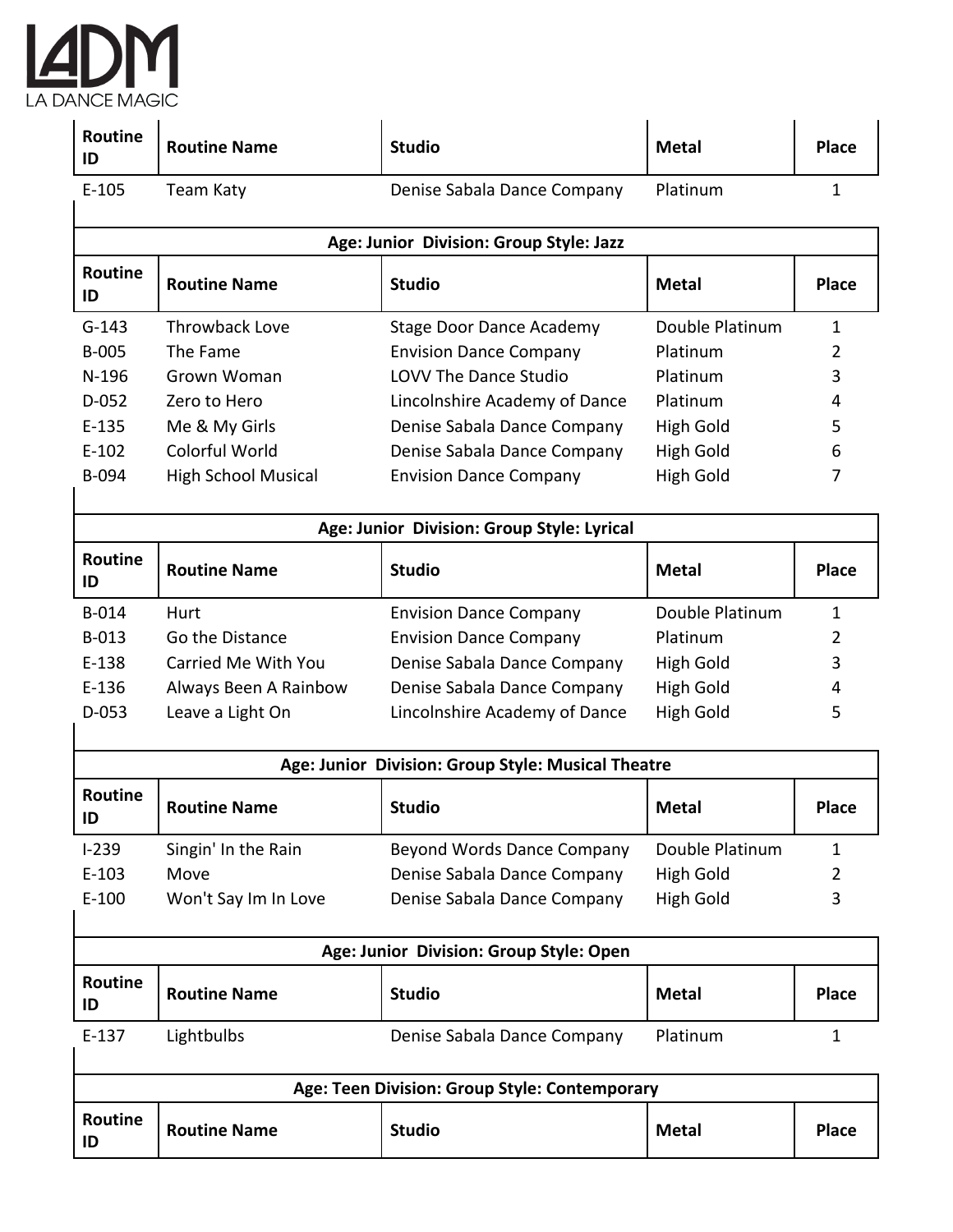

| Routine<br>ID        | <b>Routine Name</b>        | <b>Studio</b>                                      | <b>Metal</b>     | <b>Place</b> |
|----------------------|----------------------------|----------------------------------------------------|------------------|--------------|
| $E-105$              | Team Katy                  | Denise Sabala Dance Company                        | Platinum         | 1            |
|                      |                            | Age: Junior Division: Group Style: Jazz            |                  |              |
| Routine<br>ID        | <b>Routine Name</b>        | <b>Studio</b>                                      | <b>Metal</b>     | <b>Place</b> |
| $G-143$              | Throwback Love             | <b>Stage Door Dance Academy</b>                    | Double Platinum  | $\mathbf{1}$ |
| B-005                | The Fame                   | <b>Envision Dance Company</b>                      | Platinum         | 2            |
| $N-196$              | Grown Woman                | <b>LOVV The Dance Studio</b>                       | Platinum         | 3            |
| $D-052$              | Zero to Hero               | Lincolnshire Academy of Dance                      | Platinum         | 4            |
| $E-135$              | Me & My Girls              | Denise Sabala Dance Company                        | <b>High Gold</b> | 5            |
| $E-102$              | Colorful World             | Denise Sabala Dance Company                        | <b>High Gold</b> | 6            |
| B-094                | <b>High School Musical</b> | <b>Envision Dance Company</b>                      | <b>High Gold</b> | 7            |
|                      |                            | Age: Junior Division: Group Style: Lyrical         |                  |              |
| Routine<br>ID        | <b>Routine Name</b>        | <b>Studio</b>                                      | <b>Metal</b>     | <b>Place</b> |
| B-014                | Hurt                       | <b>Envision Dance Company</b>                      | Double Platinum  | $\mathbf{1}$ |
| B-013                | Go the Distance            | <b>Envision Dance Company</b>                      | Platinum         | 2            |
| $E-138$              | Carried Me With You        | Denise Sabala Dance Company                        | <b>High Gold</b> | 3            |
| $E-136$              | Always Been A Rainbow      | Denise Sabala Dance Company                        | <b>High Gold</b> | 4            |
| $D-053$              | Leave a Light On           | Lincolnshire Academy of Dance                      | <b>High Gold</b> | 5            |
|                      |                            | Age: Junior Division: Group Style: Musical Theatre |                  |              |
| Routine<br>ID        | <b>Routine Name</b>        | <b>Studio</b>                                      | <b>Metal</b>     | <b>Place</b> |
| $1 - 239$            | Singin' In the Rain        | Beyond Words Dance Company                         | Double Platinum  | 1            |
| $E-103$              | Move                       | Denise Sabala Dance Company                        | <b>High Gold</b> | 2            |
| $E-100$              | Won't Say Im In Love       | Denise Sabala Dance Company                        | <b>High Gold</b> | 3            |
|                      |                            | Age: Junior Division: Group Style: Open            |                  |              |
| <b>Routine</b><br>ID | <b>Routine Name</b>        | <b>Studio</b>                                      | <b>Metal</b>     | <b>Place</b> |
| $E-137$              | Lightbulbs                 | Denise Sabala Dance Company                        | Platinum         | $\mathbf{1}$ |
|                      |                            | Age: Teen Division: Group Style: Contemporary      |                  |              |
| <b>Routine</b><br>ID | <b>Routine Name</b>        | <b>Studio</b>                                      | <b>Metal</b>     | <b>Place</b> |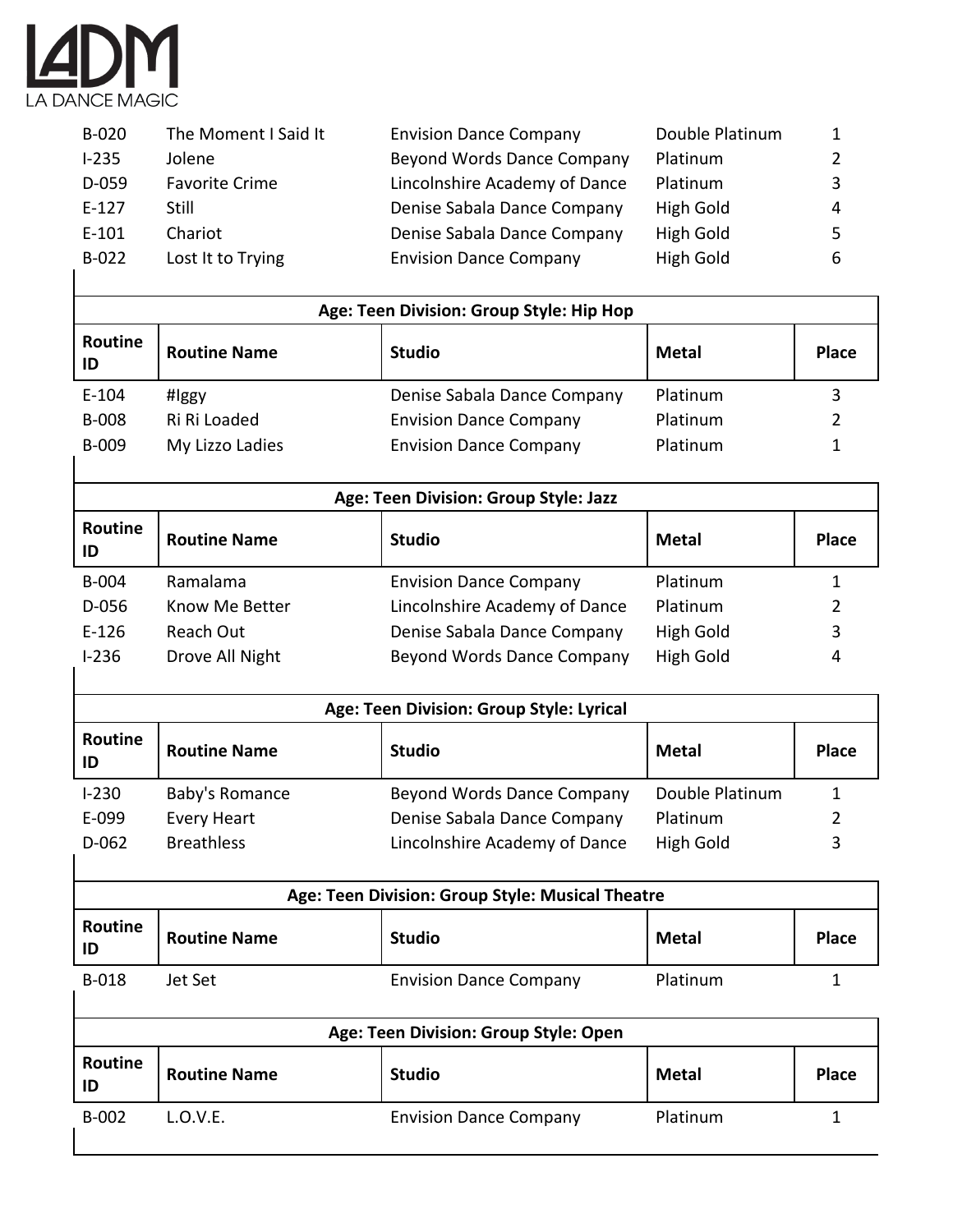

 $\overline{\mathbf{I}}$ 

| $B-020$ | The Moment I Said It  | <b>Envision Dance Company</b> | Double Platinum |   |
|---------|-----------------------|-------------------------------|-----------------|---|
| $1-235$ | Jolene                | Beyond Words Dance Company    | Platinum        |   |
| $D-059$ | <b>Favorite Crime</b> | Lincolnshire Academy of Dance | Platinum        | 3 |
| $E-127$ | Still                 | Denise Sabala Dance Company   | High Gold       | 4 |
| $E-101$ | Chariot               | Denise Sabala Dance Company   | High Gold       |   |
| $B-022$ | Lost It to Trying     | <b>Envision Dance Company</b> | High Gold       | 6 |

| Age: Teen Division: Group Style: Hip Hop                                       |                 |                               |          |  |  |
|--------------------------------------------------------------------------------|-----------------|-------------------------------|----------|--|--|
| Routine<br><b>Place</b><br><b>Routine Name</b><br><b>Studio</b><br>Metal<br>ID |                 |                               |          |  |  |
| $E-104$                                                                        | #Iggy           | Denise Sabala Dance Company   | Platinum |  |  |
| <b>B-008</b>                                                                   | Ri Ri Loaded    | <b>Envision Dance Company</b> | Platinum |  |  |
| <b>B-009</b>                                                                   | My Lizzo Ladies | <b>Envision Dance Company</b> | Platinum |  |  |

|               | Age: Teen Division: Group Style: Jazz |                               |              |              |  |
|---------------|---------------------------------------|-------------------------------|--------------|--------------|--|
| Routine<br>ID | <b>Routine Name</b>                   | <b>Studio</b>                 | <b>Metal</b> | <b>Place</b> |  |
| <b>B-004</b>  | Ramalama                              | <b>Envision Dance Company</b> | Platinum     |              |  |
| D-056         | Know Me Better                        | Lincolnshire Academy of Dance | Platinum     |              |  |
| $E-126$       | Reach Out                             | Denise Sabala Dance Company   | High Gold    | 3            |  |
| $1 - 236$     | Drove All Night                       | Beyond Words Dance Company    | High Gold    | 4            |  |

| Age: Teen Division: Group Style: Lyrical |                     |                               |                 |              |
|------------------------------------------|---------------------|-------------------------------|-----------------|--------------|
| Routine<br>ID                            | <b>Routine Name</b> | <b>Studio</b>                 | Metal           | <b>Place</b> |
| $1-230$                                  | Baby's Romance      | Beyond Words Dance Company    | Double Platinum |              |
| $E - 099$                                | <b>Every Heart</b>  | Denise Sabala Dance Company   | Platinum        |              |
| $D-062$                                  | <b>Breathless</b>   | Lincolnshire Academy of Dance | High Gold       |              |

| Age: Teen Division: Group Style: Musical Theatre |                                                               |                               |          |  |  |  |
|--------------------------------------------------|---------------------------------------------------------------|-------------------------------|----------|--|--|--|
| Routine<br>ID                                    | <b>Studio</b><br><b>Place</b><br>Metal<br><b>Routine Name</b> |                               |          |  |  |  |
| B-018                                            | Jet Set                                                       | <b>Envision Dance Company</b> | Platinum |  |  |  |

| Age: Teen Division: Group Style: Open |                     |                               |          |              |  |
|---------------------------------------|---------------------|-------------------------------|----------|--------------|--|
| <b>Routine</b><br>ID                  | <b>Routine Name</b> | <b>Studio</b>                 | Metal    | <b>Place</b> |  |
| $B-002$                               | L.O.V.E.            | <b>Envision Dance Company</b> | Platinum |              |  |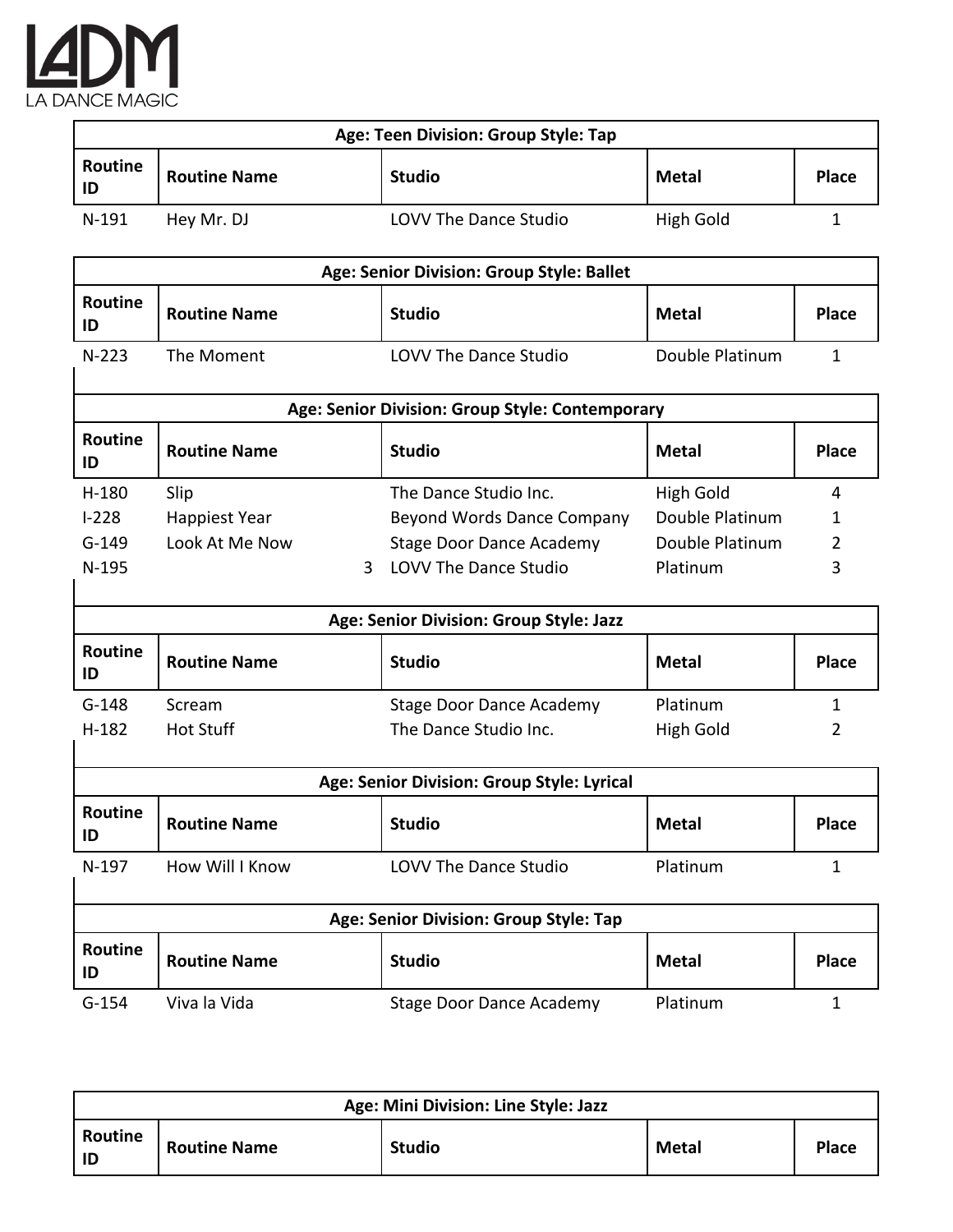

|                      |                      | Age: Teen Division: Group Style: Tap            |                  |                |
|----------------------|----------------------|-------------------------------------------------|------------------|----------------|
| Routine<br>ID        | <b>Routine Name</b>  | <b>Studio</b>                                   | <b>Metal</b>     | <b>Place</b>   |
| $N-191$              | Hey Mr. DJ           | <b>LOVV The Dance Studio</b>                    | <b>High Gold</b> | 1              |
|                      |                      | Age: Senior Division: Group Style: Ballet       |                  |                |
| Routine<br>ID        | <b>Routine Name</b>  | <b>Studio</b>                                   | <b>Metal</b>     | <b>Place</b>   |
| $N-223$              | The Moment           | <b>LOVV The Dance Studio</b>                    | Double Platinum  | $\mathbf{1}$   |
|                      |                      | Age: Senior Division: Group Style: Contemporary |                  |                |
| <b>Routine</b><br>ID | <b>Routine Name</b>  | <b>Studio</b>                                   | <b>Metal</b>     | <b>Place</b>   |
| $H-180$              | Slip                 | The Dance Studio Inc.                           | High Gold        | 4              |
| $1 - 228$            | <b>Happiest Year</b> | Beyond Words Dance Company                      | Double Platinum  | 1              |
| $G-149$              | Look At Me Now       | <b>Stage Door Dance Academy</b>                 | Double Platinum  | $\overline{2}$ |
| $N-195$              | 3                    | LOVV The Dance Studio                           | Platinum         | 3              |
|                      |                      | Age: Senior Division: Group Style: Jazz         |                  |                |
| Routine<br>ID        | <b>Routine Name</b>  | <b>Studio</b>                                   | <b>Metal</b>     | <b>Place</b>   |
| $G-148$              | Scream               | <b>Stage Door Dance Academy</b>                 | Platinum         | $\mathbf{1}$   |
| $H-182$              | <b>Hot Stuff</b>     | The Dance Studio Inc.                           | <b>High Gold</b> | $\overline{2}$ |
|                      |                      | Age: Senior Division: Group Style: Lyrical      |                  |                |
| Routine<br>ID        | <b>Routine Name</b>  | <b>Studio</b>                                   | <b>Metal</b>     | <b>Place</b>   |
| $N-197$              | How Will I Know      | <b>LOVV The Dance Studio</b>                    | Platinum         | 1              |
|                      |                      | Age: Senior Division: Group Style: Tap          |                  |                |
| <b>Routine</b><br>ID | <b>Routine Name</b>  | <b>Studio</b>                                   | <b>Metal</b>     | <b>Place</b>   |
| $G-154$              | Viva la Vida         | <b>Stage Door Dance Academy</b>                 | Platinum         | $\mathbf{1}$   |

| Age: Mini Division: Line Style: Jazz |                     |               |       |       |
|--------------------------------------|---------------------|---------------|-------|-------|
| Routine<br>i ID                      | <b>Routine Name</b> | <b>Studio</b> | Metal | Place |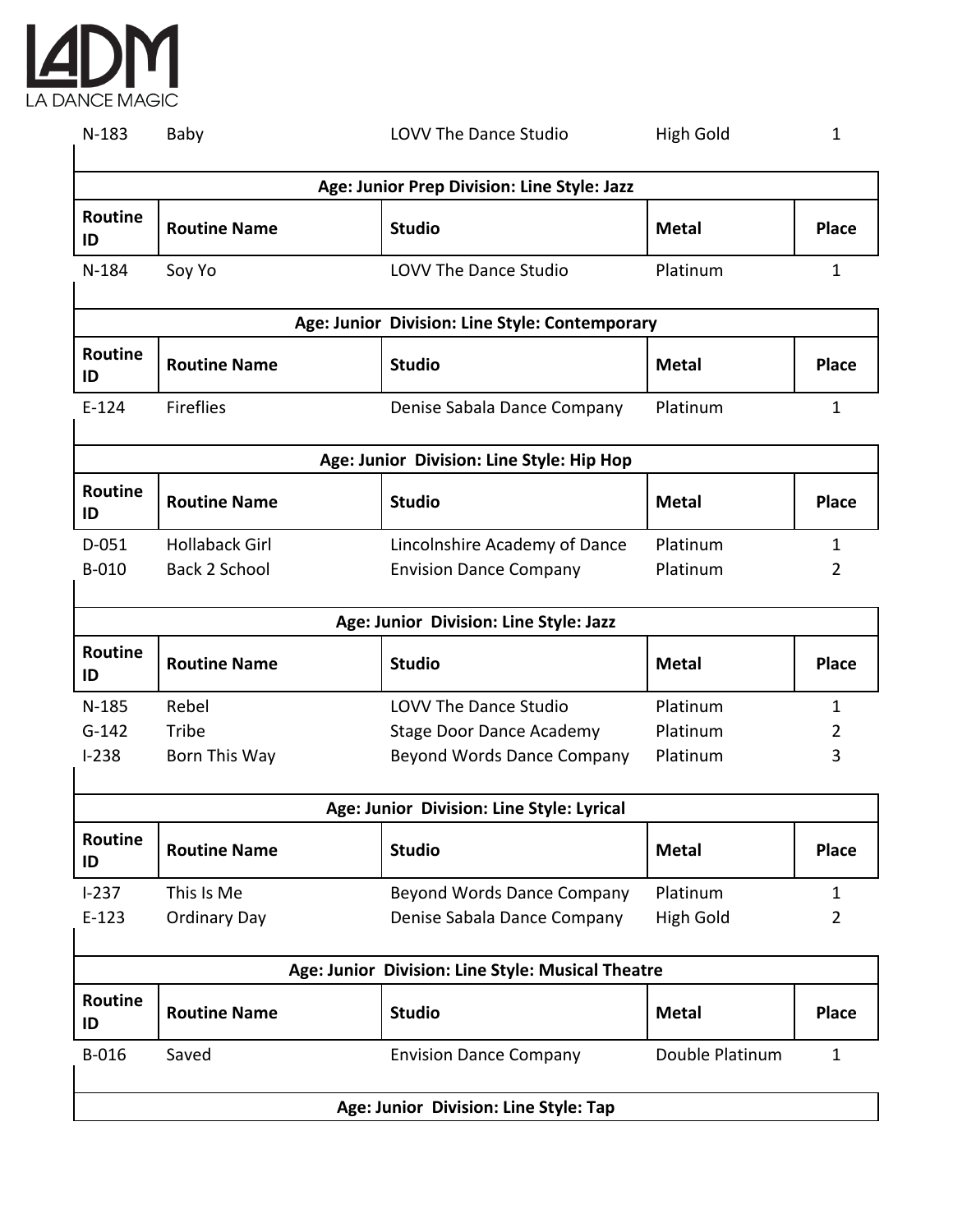

| $N-183$              | Baby                  | <b>LOVV The Dance Studio</b>                      | <b>High Gold</b> | 1              |
|----------------------|-----------------------|---------------------------------------------------|------------------|----------------|
|                      |                       | Age: Junior Prep Division: Line Style: Jazz       |                  |                |
| Routine<br>ID        | <b>Routine Name</b>   | <b>Studio</b>                                     | <b>Metal</b>     | <b>Place</b>   |
| $N-184$              | Soy Yo                | <b>LOVV The Dance Studio</b>                      | Platinum         | $\mathbf{1}$   |
|                      |                       | Age: Junior Division: Line Style: Contemporary    |                  |                |
| <b>Routine</b><br>ID | <b>Routine Name</b>   | <b>Studio</b>                                     | <b>Metal</b>     | <b>Place</b>   |
| $E-124$              | <b>Fireflies</b>      | Denise Sabala Dance Company                       | Platinum         | $\mathbf{1}$   |
|                      |                       | Age: Junior Division: Line Style: Hip Hop         |                  |                |
| Routine<br>ID        | <b>Routine Name</b>   | <b>Studio</b>                                     | <b>Metal</b>     | <b>Place</b>   |
| $D-051$              | <b>Hollaback Girl</b> | Lincolnshire Academy of Dance                     | Platinum         | $\mathbf{1}$   |
| B-010                | Back 2 School         | <b>Envision Dance Company</b>                     | Platinum         | $\overline{2}$ |
|                      |                       | Age: Junior Division: Line Style: Jazz            |                  |                |
| <b>Routine</b><br>ID | <b>Routine Name</b>   | <b>Studio</b>                                     | <b>Metal</b>     | <b>Place</b>   |
| $N-185$              | Rebel                 | <b>LOVV The Dance Studio</b>                      | Platinum         | $\mathbf{1}$   |
| $G-142$              | Tribe                 | <b>Stage Door Dance Academy</b>                   | Platinum         | $\overline{2}$ |
| $1-238$              | Born This Way         | Beyond Words Dance Company                        | Platinum         | 3              |
|                      |                       | Age: Junior Division: Line Style: Lyrical         |                  |                |
| Routine<br>ID        | <b>Routine Name</b>   | <b>Studio</b>                                     | <b>Metal</b>     | <b>Place</b>   |
| $1-237$              | This Is Me            | Beyond Words Dance Company                        | Platinum         | 1              |
| $E-123$              | <b>Ordinary Day</b>   | Denise Sabala Dance Company                       | <b>High Gold</b> | $\overline{2}$ |
|                      |                       | Age: Junior Division: Line Style: Musical Theatre |                  |                |
| Routine<br>ID        | <b>Routine Name</b>   | <b>Studio</b>                                     | <b>Metal</b>     | <b>Place</b>   |
| B-016                | Saved                 | <b>Envision Dance Company</b>                     | Double Platinum  | $\mathbf{1}$   |
|                      |                       | Age: Junior Division: Line Style: Tap             |                  |                |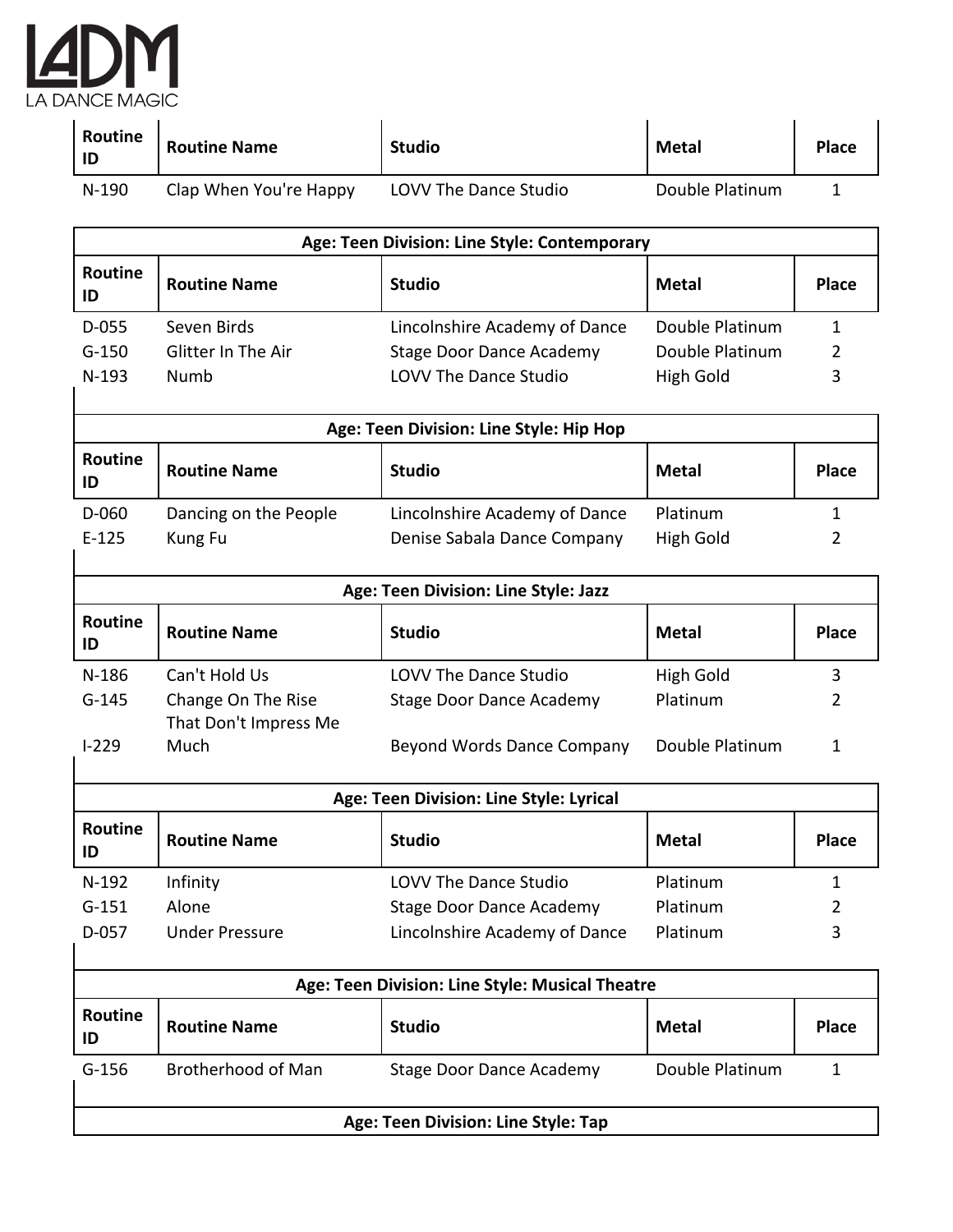

| Routine<br>ID        | <b>Routine Name</b>                 | <b>Studio</b>                                   | <b>Metal</b>     | <b>Place</b>   |  |  |
|----------------------|-------------------------------------|-------------------------------------------------|------------------|----------------|--|--|
| $N-190$              | Clap When You're Happy              | <b>LOVV The Dance Studio</b>                    | Double Platinum  | 1              |  |  |
|                      |                                     | Age: Teen Division: Line Style: Contemporary    |                  |                |  |  |
| <b>Routine</b><br>ID | <b>Routine Name</b>                 | <b>Studio</b>                                   | <b>Metal</b>     | <b>Place</b>   |  |  |
| $D-055$              | Seven Birds                         | Lincolnshire Academy of Dance                   | Double Platinum  | $\mathbf{1}$   |  |  |
| $G-150$              | Glitter In The Air                  | <b>Stage Door Dance Academy</b>                 | Double Platinum  | $\overline{2}$ |  |  |
| $N-193$              | Numb                                | <b>LOVV The Dance Studio</b>                    | High Gold        | 3              |  |  |
|                      |                                     | Age: Teen Division: Line Style: Hip Hop         |                  |                |  |  |
| <b>Routine</b><br>ID | <b>Routine Name</b>                 | <b>Studio</b>                                   | <b>Metal</b>     | <b>Place</b>   |  |  |
| D-060                | Dancing on the People               | Lincolnshire Academy of Dance                   | Platinum         | $\mathbf{1}$   |  |  |
| $E-125$              | <b>Kung Fu</b>                      | Denise Sabala Dance Company                     | <b>High Gold</b> | 2              |  |  |
|                      |                                     | Age: Teen Division: Line Style: Jazz            |                  |                |  |  |
| Routine<br>ID        | <b>Routine Name</b>                 | <b>Studio</b>                                   | <b>Metal</b>     | <b>Place</b>   |  |  |
| $N-186$              | Can't Hold Us                       | <b>LOVV The Dance Studio</b>                    | <b>High Gold</b> | 3              |  |  |
| $G-145$              | Change On The Rise                  | <b>Stage Door Dance Academy</b>                 | Platinum         | 2              |  |  |
|                      | That Don't Impress Me               |                                                 |                  |                |  |  |
| $I-229$              | Much                                | Beyond Words Dance Company                      | Double Platinum  | 1              |  |  |
|                      |                                     | Age: Teen Division: Line Style: Lyrical         |                  |                |  |  |
| <b>Routine</b><br>ID | <b>Routine Name</b>                 | <b>Studio</b>                                   | <b>Metal</b>     | <b>Place</b>   |  |  |
| $N-192$              | Infinity                            | <b>LOVV The Dance Studio</b>                    | Platinum         | $\mathbf{1}$   |  |  |
| $G-151$              | Alone                               | <b>Stage Door Dance Academy</b>                 | Platinum         | 2              |  |  |
| $D-057$              | <b>Under Pressure</b>               | Lincolnshire Academy of Dance                   | Platinum         | 3              |  |  |
|                      |                                     | Age: Teen Division: Line Style: Musical Theatre |                  |                |  |  |
| Routine<br>ID        | <b>Routine Name</b>                 | <b>Studio</b>                                   | <b>Metal</b>     | <b>Place</b>   |  |  |
| $G-156$              | <b>Brotherhood of Man</b>           | <b>Stage Door Dance Academy</b>                 | Double Platinum  | $\mathbf{1}$   |  |  |
|                      | Age: Teen Division: Line Style: Tap |                                                 |                  |                |  |  |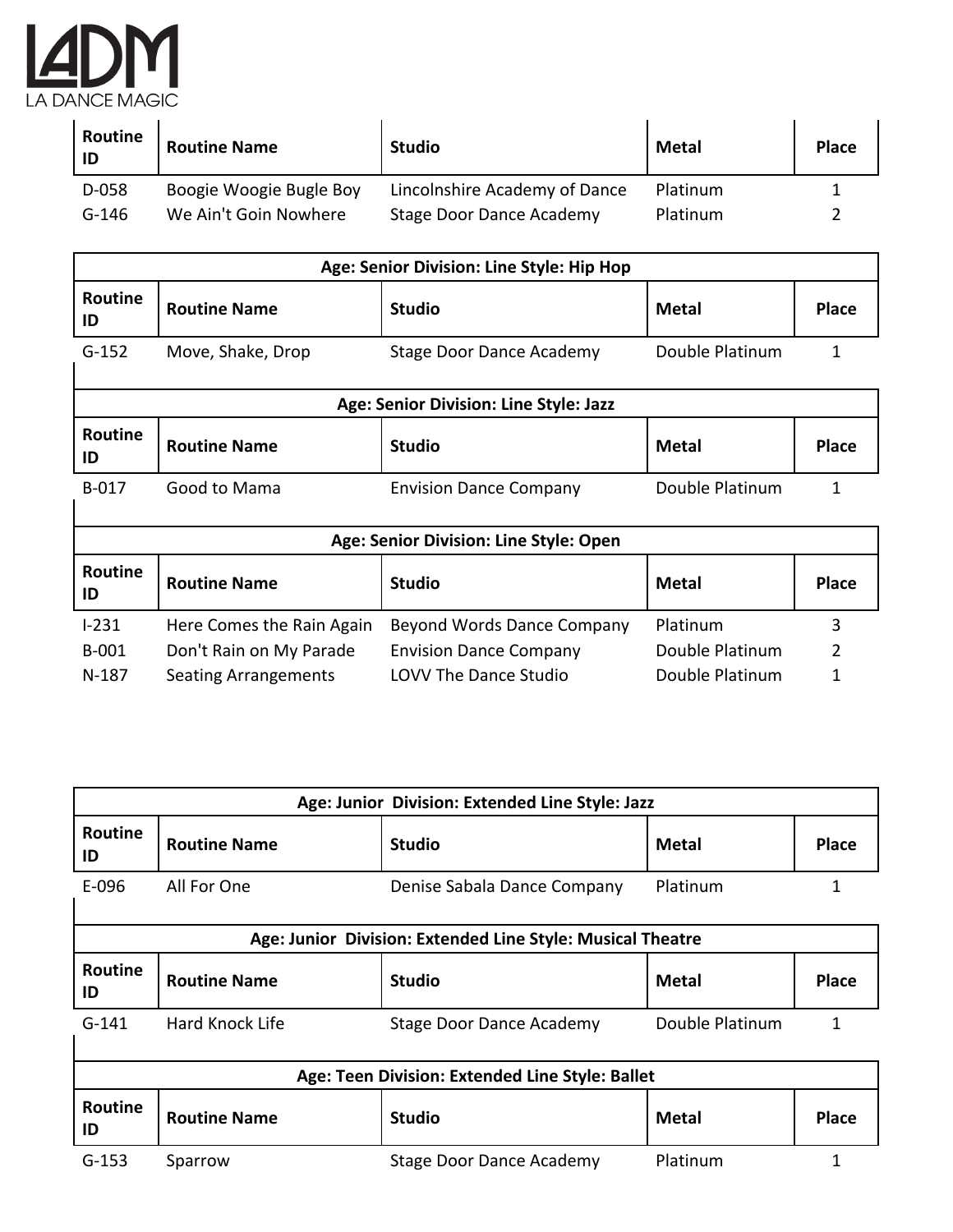

| Routine<br>ID | <b>Routine Name</b>     | <b>Studio</b>                 | Metal    | <b>Place</b> |
|---------------|-------------------------|-------------------------------|----------|--------------|
| D-058         | Boogie Woogie Bugle Boy | Lincolnshire Academy of Dance | Platinum |              |
| $G-146$       | We Ain't Goin Nowhere   | Stage Door Dance Academy      | Platinum |              |

| Age: Senior Division: Line Style: Hip Hop |                                        |                                        |                 |              |
|-------------------------------------------|----------------------------------------|----------------------------------------|-----------------|--------------|
| <b>Routine</b><br>ID                      | <b>Routine Name</b>                    | <b>Studio</b>                          | <b>Metal</b>    | <b>Place</b> |
| $G-152$                                   | Move, Shake, Drop                      | Stage Door Dance Academy               | Double Platinum | 1            |
|                                           |                                        | Age: Senior Division: Line Style: Jazz |                 |              |
| Routine<br>ID                             | <b>Routine Name</b>                    | <b>Studio</b>                          | <b>Metal</b>    | <b>Place</b> |
| B-017                                     | Good to Mama                           | <b>Envision Dance Company</b>          | Double Platinum | 1            |
|                                           | Age: Senior Division: Line Style: Open |                                        |                 |              |
| Routine<br>ID                             | <b>Routine Name</b>                    | <b>Studio</b>                          | <b>Metal</b>    | Place        |
| $1 - 231$                                 | Here Comes the Rain Again              | Beyond Words Dance Company             | Platinum        | 3            |
| B-001                                     | Don't Rain on My Parade                | <b>Envision Dance Company</b>          | Double Platinum | 2            |
| N-187                                     | <b>Seating Arrangements</b>            | <b>LOVV The Dance Studio</b>           | Double Platinum | 1            |

|                                                            | Age: Junior Division: Extended Line Style: Jazz |                             |                 |              |  |
|------------------------------------------------------------|-------------------------------------------------|-----------------------------|-----------------|--------------|--|
| Routine<br>ID                                              | <b>Routine Name</b>                             | <b>Studio</b>               | <b>Metal</b>    | <b>Place</b> |  |
| E-096                                                      | All For One                                     | Denise Sabala Dance Company | Platinum        |              |  |
| Age: Junior Division: Extended Line Style: Musical Theatre |                                                 |                             |                 |              |  |
| Routine<br>ID                                              | <b>Routine Name</b>                             | <b>Studio</b>               | <b>Metal</b>    | <b>Place</b> |  |
| $G-141$                                                    | <b>Hard Knock Life</b>                          | Stage Door Dance Academy    | Double Platinum |              |  |
|                                                            | Age: Teen Division: Extended Line Style: Ballet |                             |                 |              |  |
| Routine<br>ID                                              | <b>Routine Name</b>                             | <b>Studio</b>               | <b>Metal</b>    | <b>Place</b> |  |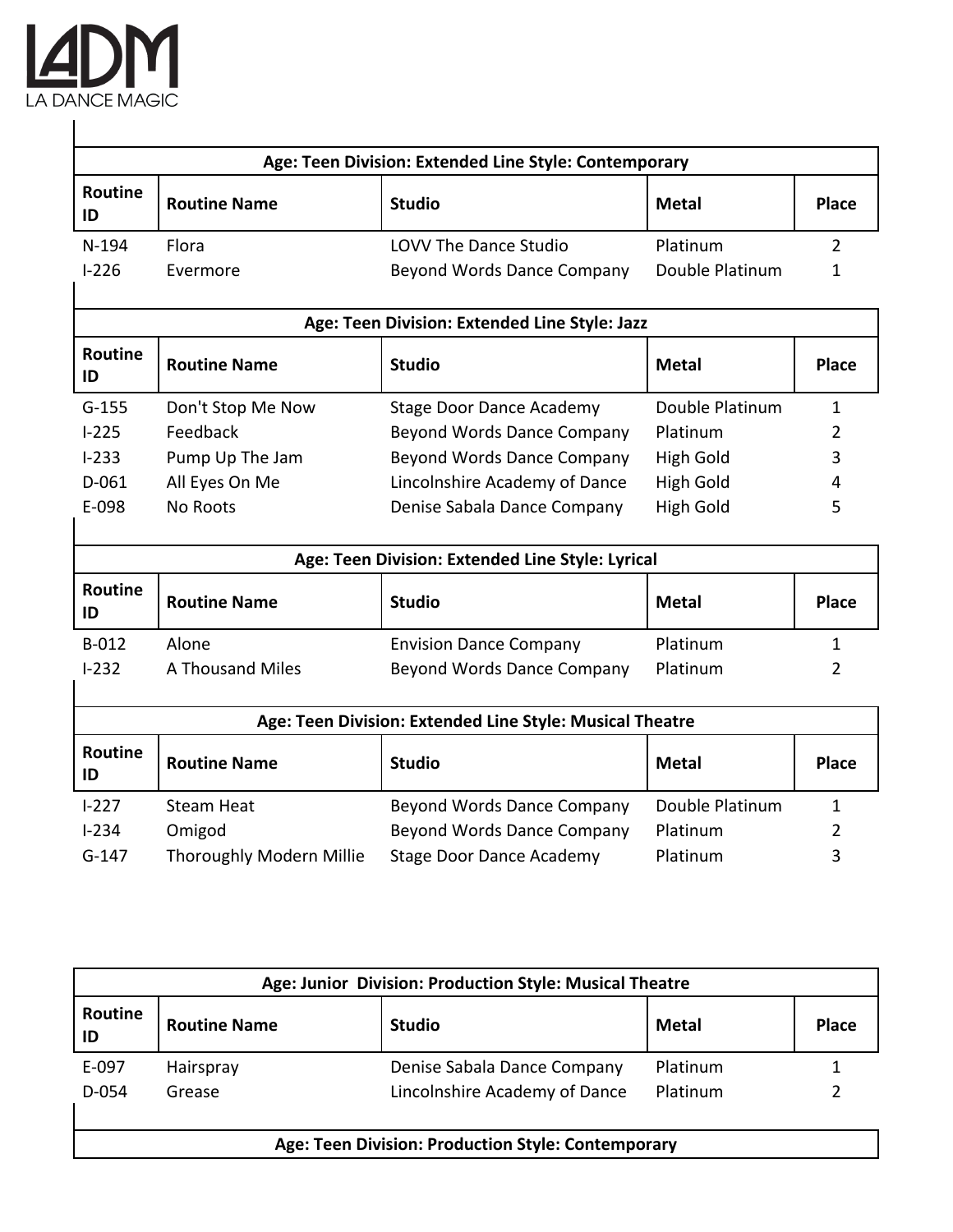

| Age: Teen Division: Extended Line Style: Contemporary |                                 |                                                          |                  |                |
|-------------------------------------------------------|---------------------------------|----------------------------------------------------------|------------------|----------------|
| <b>Routine</b><br>ID                                  | <b>Routine Name</b>             | <b>Studio</b>                                            | <b>Metal</b>     | <b>Place</b>   |
| $N-194$                                               | Flora                           | <b>LOVV The Dance Studio</b>                             | Platinum         | 2              |
| $1 - 226$                                             | Evermore                        | Beyond Words Dance Company                               | Double Platinum  | 1              |
|                                                       |                                 | Age: Teen Division: Extended Line Style: Jazz            |                  |                |
| Routine<br>ID                                         | <b>Routine Name</b>             | <b>Studio</b>                                            | <b>Metal</b>     | <b>Place</b>   |
| $G-155$                                               | Don't Stop Me Now               | <b>Stage Door Dance Academy</b>                          | Double Platinum  | $\mathbf{1}$   |
| $1 - 225$                                             | Feedback                        | Beyond Words Dance Company                               | Platinum         | $\overline{2}$ |
| $I-233$                                               | Pump Up The Jam                 | Beyond Words Dance Company                               | <b>High Gold</b> | 3              |
| $D-061$                                               | All Eyes On Me                  | Lincolnshire Academy of Dance                            | High Gold        | 4              |
| E-098                                                 | <b>No Roots</b>                 | Denise Sabala Dance Company                              | <b>High Gold</b> | 5              |
|                                                       |                                 | Age: Teen Division: Extended Line Style: Lyrical         |                  |                |
| <b>Routine</b><br>ID                                  | <b>Routine Name</b>             | <b>Studio</b>                                            | <b>Metal</b>     | <b>Place</b>   |
| $B-012$                                               | Alone                           | <b>Envision Dance Company</b>                            | Platinum         | $\mathbf{1}$   |
| $I-232$                                               | A Thousand Miles                | Beyond Words Dance Company                               | Platinum         | $\overline{2}$ |
|                                                       |                                 | Age: Teen Division: Extended Line Style: Musical Theatre |                  |                |
| Routine<br>ID                                         | <b>Routine Name</b>             | <b>Studio</b>                                            | <b>Metal</b>     | <b>Place</b>   |
| $1-227$                                               | <b>Steam Heat</b>               | Beyond Words Dance Company                               | Double Platinum  | $\mathbf{1}$   |
| $1 - 234$                                             | Omigod                          | Beyond Words Dance Company                               | Platinum         | 2              |
| $G-147$                                               | <b>Thoroughly Modern Millie</b> | <b>Stage Door Dance Academy</b>                          | Platinum         | 3              |

| Age: Junior Division: Production Style: Musical Theatre |                                                    |                               |              |  |  |
|---------------------------------------------------------|----------------------------------------------------|-------------------------------|--------------|--|--|
| Routine<br>ID                                           | <b>Routine Name</b>                                | Metal                         | <b>Place</b> |  |  |
| E-097                                                   | Hairspray                                          | Denise Sabala Dance Company   | Platinum     |  |  |
| D-054                                                   | Grease                                             | Lincolnshire Academy of Dance | Platinum     |  |  |
|                                                         |                                                    |                               |              |  |  |
|                                                         | Age: Teen Division: Production Style: Contemporary |                               |              |  |  |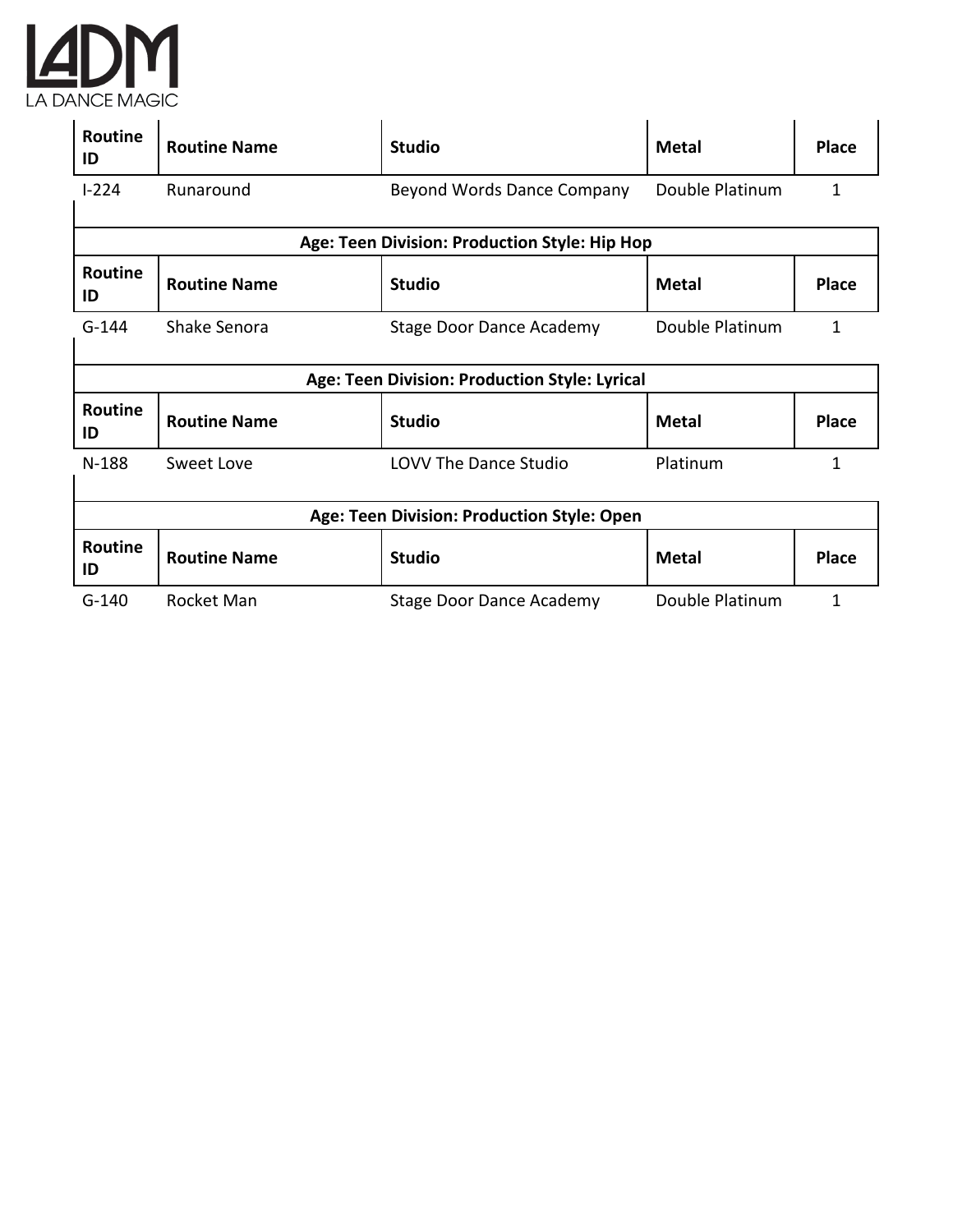

| <b>Routine</b><br>ID | <b>Routine Name</b>                           | <b>Studio</b>                                 | <b>Metal</b>    | <b>Place</b> |  |
|----------------------|-----------------------------------------------|-----------------------------------------------|-----------------|--------------|--|
| $1 - 224$            | Runaround                                     | Beyond Words Dance Company                    | Double Platinum | 1            |  |
|                      | Age: Teen Division: Production Style: Hip Hop |                                               |                 |              |  |
| Routine<br>ID        | <b>Routine Name</b>                           | <b>Studio</b>                                 | <b>Metal</b>    | <b>Place</b> |  |
| $G-144$              | Shake Senora                                  | <b>Stage Door Dance Academy</b>               | Double Platinum | $\mathbf{1}$ |  |
|                      |                                               | Age: Teen Division: Production Style: Lyrical |                 |              |  |
| Routine<br>ID        | <b>Routine Name</b>                           | <b>Studio</b>                                 | <b>Metal</b>    | <b>Place</b> |  |
| $N-188$              | Sweet Love                                    | <b>LOVV The Dance Studio</b>                  | Platinum        | 1            |  |
|                      |                                               | Age: Teen Division: Production Style: Open    |                 |              |  |
| Routine<br>ID        | <b>Routine Name</b>                           | <b>Studio</b>                                 | <b>Metal</b>    | Place        |  |
| $G-140$              | Rocket Man                                    | Stage Door Dance Academy                      | Double Platinum | 1            |  |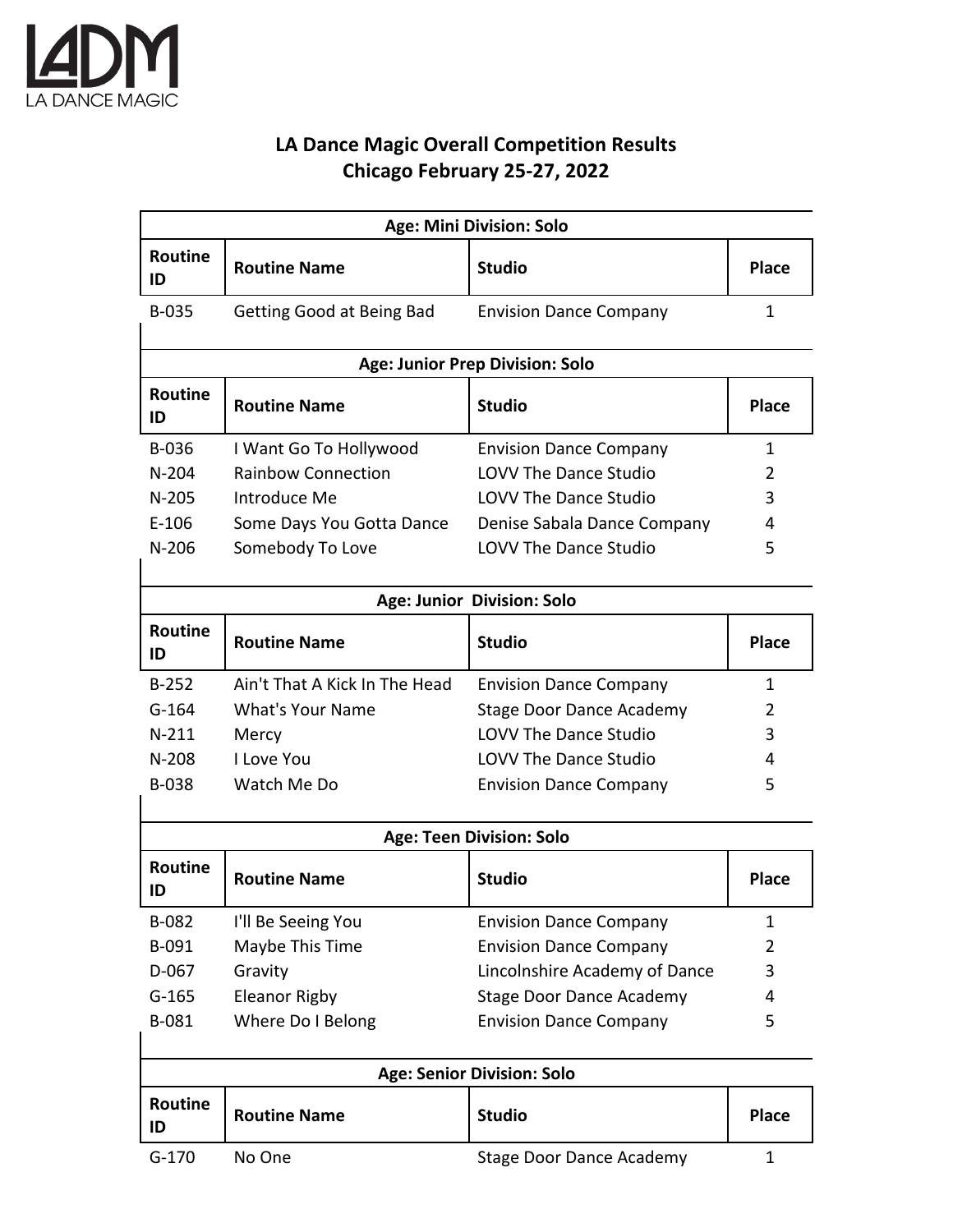

## **LA Dance Magic Overall Competition Results Chicago February 25-27, 2022**

| <b>Age: Mini Division: Solo</b> |                               |                                   |              |  |
|---------------------------------|-------------------------------|-----------------------------------|--------------|--|
| <b>Routine</b><br>ID            | <b>Routine Name</b>           | <b>Studio</b>                     | <b>Place</b> |  |
| B-035                           | Getting Good at Being Bad     | <b>Envision Dance Company</b>     | 1            |  |
|                                 |                               | Age: Junior Prep Division: Solo   |              |  |
| <b>Routine</b><br>ID            | <b>Routine Name</b>           | <b>Studio</b>                     | <b>Place</b> |  |
| B-036                           | I Want Go To Hollywood        | <b>Envision Dance Company</b>     | $\mathbf{1}$ |  |
| $N-204$                         | <b>Rainbow Connection</b>     | <b>LOVV The Dance Studio</b>      | 2            |  |
| $N-205$                         | Introduce Me                  | <b>LOVV The Dance Studio</b>      | 3            |  |
| $E-106$                         | Some Days You Gotta Dance     | Denise Sabala Dance Company       | 4            |  |
| $N-206$                         | Somebody To Love              | <b>LOVV The Dance Studio</b>      | 5            |  |
|                                 |                               | Age: Junior Division: Solo        |              |  |
| <b>Routine</b><br>ID            | <b>Routine Name</b>           | <b>Studio</b>                     | <b>Place</b> |  |
| $B-252$                         | Ain't That A Kick In The Head | <b>Envision Dance Company</b>     | 1            |  |
| $G-164$                         | <b>What's Your Name</b>       | Stage Door Dance Academy          | 2            |  |
| $N-211$                         | Mercy                         | <b>LOVV The Dance Studio</b>      | 3            |  |
| $N-208$                         | I Love You                    | <b>LOVV The Dance Studio</b>      | 4            |  |
| B-038                           | Watch Me Do                   | <b>Envision Dance Company</b>     | 5            |  |
|                                 |                               | <b>Age: Teen Division: Solo</b>   |              |  |
| <b>Routine</b><br>ID            | <b>Routine Name</b>           | <b>Studio</b>                     | <b>Place</b> |  |
| B-082                           | I'll Be Seeing You            | <b>Envision Dance Company</b>     | $\mathbf 1$  |  |
| B-091                           | Maybe This Time               | <b>Envision Dance Company</b>     | 2            |  |
| D-067                           | Gravity                       | Lincolnshire Academy of Dance     | 3            |  |
| $G-165$                         | <b>Eleanor Rigby</b>          | <b>Stage Door Dance Academy</b>   | 4            |  |
| B-081                           | Where Do I Belong             | <b>Envision Dance Company</b>     | 5            |  |
|                                 |                               | <b>Age: Senior Division: Solo</b> |              |  |
| Routine<br>ID                   | <b>Routine Name</b>           | <b>Studio</b>                     | <b>Place</b> |  |

G-170 No One Stage Door Dance Academy 1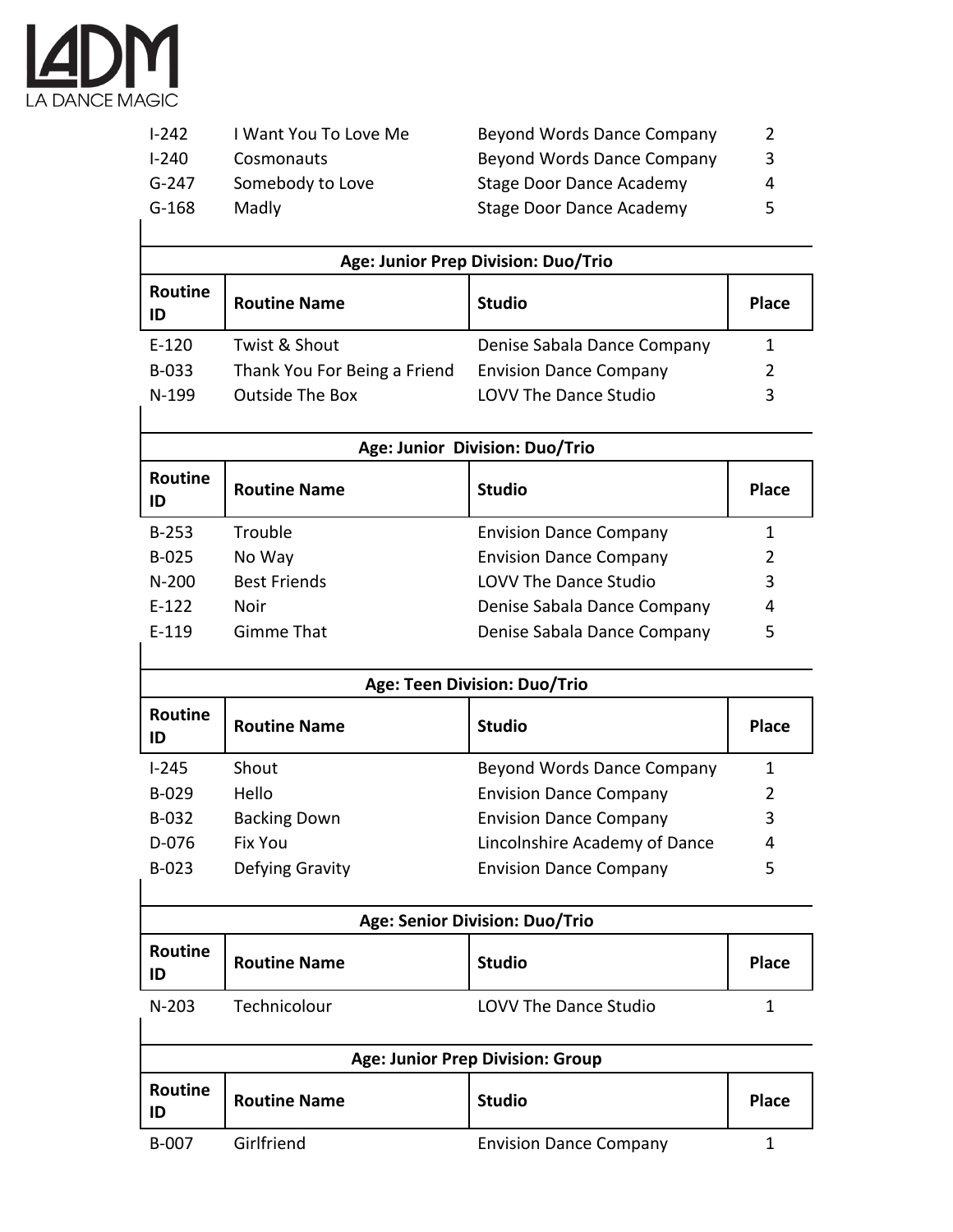

| $1-242$   | I Want You To Love Me | Beyond Words Dance Company | 2  |
|-----------|-----------------------|----------------------------|----|
| $1 - 240$ | Cosmonauts            | Beyond Words Dance Company | 3  |
| $G-247$   | Somebody to Love      | Stage Door Dance Academy   | 4  |
| G-168     | Madly                 | Stage Door Dance Academy   | 5. |

| Age: Junior Prep Division: Duo/Trio |  |
|-------------------------------------|--|
|-------------------------------------|--|

| Routine<br>ID | <b>Routine Name</b>          | <b>Studio</b>                 | <b>Place</b> |
|---------------|------------------------------|-------------------------------|--------------|
| $E-120$       | Twist & Shout                | Denise Sabala Dance Company   |              |
| B-033         | Thank You For Being a Friend | <b>Envision Dance Company</b> |              |
| N-199         | <b>Outside The Box</b>       | LOVV The Dance Studio         | ર            |

## **Age: Junior Division: Duo/Trio**

| Routine<br>ID | <b>Routine Name</b> | <b>Studio</b>                 | <b>Place</b> |
|---------------|---------------------|-------------------------------|--------------|
| $B-253$       | Trouble             | <b>Envision Dance Company</b> |              |
| $B-025$       | No Way              | <b>Envision Dance Company</b> |              |
| $N-200$       | <b>Best Friends</b> | LOVV The Dance Studio         | 3            |
| $E-122$       | Noir                | Denise Sabala Dance Company   | 4            |
| $E-119$       | <b>Gimme That</b>   | Denise Sabala Dance Company   | 5            |

| Age: Teen Division: Duo/Trio |                     |                               |              |
|------------------------------|---------------------|-------------------------------|--------------|
| Routine<br>ID                | <b>Routine Name</b> | <b>Studio</b>                 | <b>Place</b> |
| $1 - 245$                    | Shout               | Beyond Words Dance Company    | 1            |
| $B-029$                      | Hello               | <b>Envision Dance Company</b> | 2            |
| B-032                        | <b>Backing Down</b> | <b>Envision Dance Company</b> | 3            |
| D-076                        | <b>Fix You</b>      | Lincolnshire Academy of Dance | 4            |
| $B-023$                      | Defying Gravity     | <b>Envision Dance Company</b> | 5            |

| Age: Senior Division: Duo/Trio   |                     |                              |              |
|----------------------------------|---------------------|------------------------------|--------------|
| Routine<br>ID                    | <b>Routine Name</b> | <b>Studio</b>                | <b>Place</b> |
| $N-203$                          | Technicolour        | <b>LOVV The Dance Studio</b> |              |
| Age: Junior Prep Division: Group |                     |                              |              |
|                                  |                     |                              |              |

| Routine<br>ID | <b>Routine Name</b> | <b>Studio</b>                 | <b>Place</b> |
|---------------|---------------------|-------------------------------|--------------|
| B-007         | Girlfriend          | <b>Envision Dance Company</b> |              |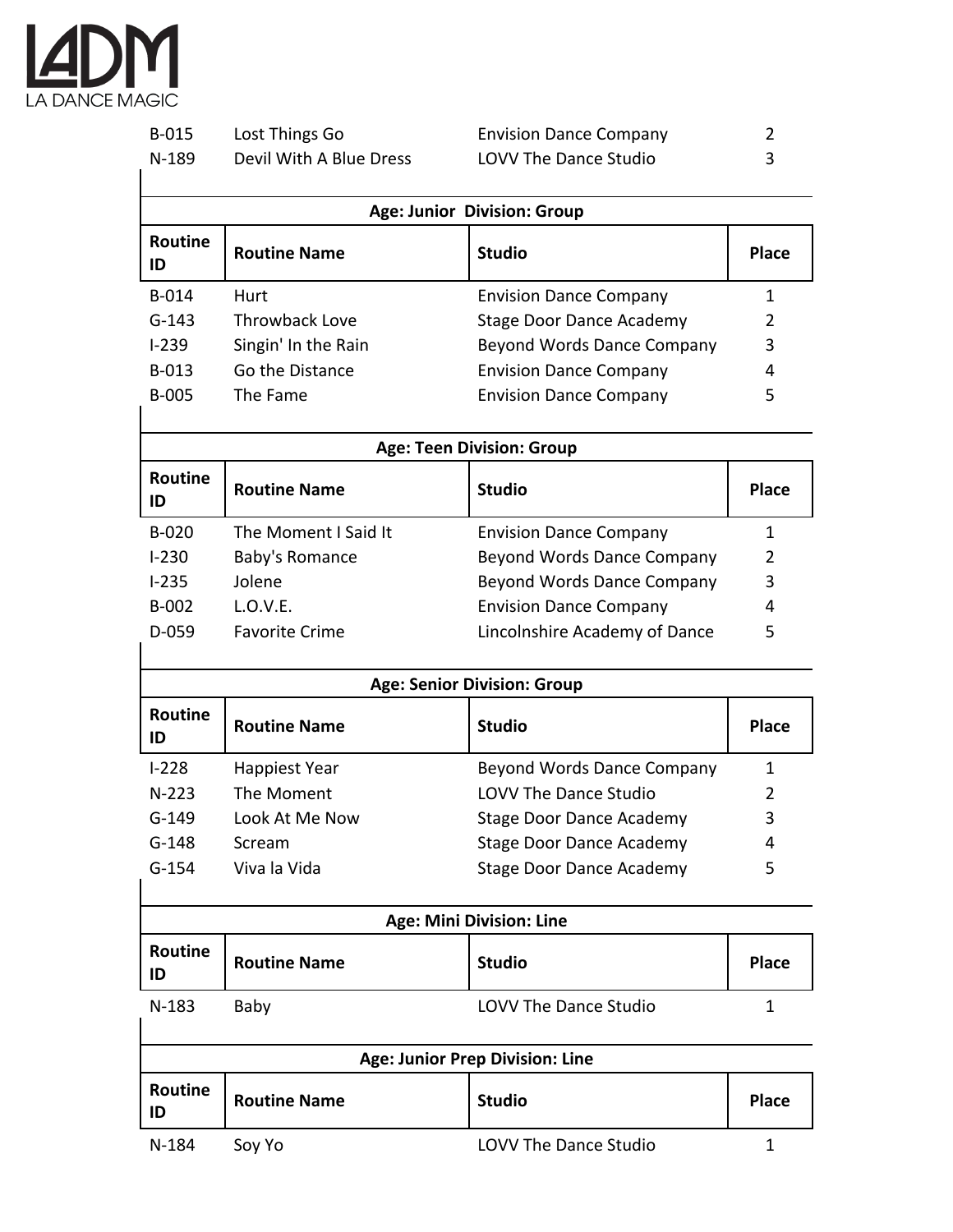

| B-015<br>$N-189$                | Lost Things Go<br>Devil With A Blue Dress | <b>Envision Dance Company</b><br><b>LOVV The Dance Studio</b> | 2<br>3         |
|---------------------------------|-------------------------------------------|---------------------------------------------------------------|----------------|
|                                 |                                           | Age: Junior Division: Group                                   |                |
| <b>Routine</b><br>ID            | <b>Routine Name</b>                       | <b>Studio</b>                                                 | Place          |
| B-014                           | Hurt                                      | <b>Envision Dance Company</b>                                 | 1              |
| $G-143$                         | <b>Throwback Love</b>                     | <b>Stage Door Dance Academy</b>                               | 2              |
| $I-239$                         | Singin' In the Rain                       | Beyond Words Dance Company                                    | 3              |
| $B-013$                         | Go the Distance                           | <b>Envision Dance Company</b>                                 | 4              |
| <b>B-005</b>                    | The Fame                                  | <b>Envision Dance Company</b>                                 | 5              |
|                                 |                                           | <b>Age: Teen Division: Group</b>                              |                |
| <b>Routine</b><br>ID            | <b>Routine Name</b>                       | <b>Studio</b>                                                 | <b>Place</b>   |
| $B-020$                         | The Moment I Said It                      | <b>Envision Dance Company</b>                                 | $\mathbf{1}$   |
| $I-230$                         | Baby's Romance                            | Beyond Words Dance Company                                    | 2              |
| $I-235$                         | Jolene                                    | Beyond Words Dance Company                                    | 3              |
| B-002                           | L.O.V.E.                                  | <b>Envision Dance Company</b>                                 | 4              |
| D-059                           | <b>Favorite Crime</b>                     | Lincolnshire Academy of Dance                                 | 5              |
|                                 |                                           |                                                               |                |
|                                 |                                           | <b>Age: Senior Division: Group</b>                            |                |
| <b>Routine</b><br>ID            | <b>Routine Name</b>                       | <b>Studio</b>                                                 | <b>Place</b>   |
| $I-228$                         | <b>Happiest Year</b>                      | Beyond Words Dance Company                                    | 1              |
| $N-223$                         | The Moment                                | <b>LOVV The Dance Studio</b>                                  | $\overline{2}$ |
| $G-149$                         | Look At Me Now                            | <b>Stage Door Dance Academy</b>                               | 3              |
| $G-148$                         | Scream                                    | <b>Stage Door Dance Academy</b>                               | 4              |
| $G-154$                         | Viva la Vida                              | <b>Stage Door Dance Academy</b>                               | 5              |
| Age: Mini Division: Line        |                                           |                                                               |                |
| <b>Routine</b><br>ID            | <b>Routine Name</b>                       | <b>Studio</b>                                                 | <b>Place</b>   |
| $N-183$                         | Baby                                      | <b>LOVV The Dance Studio</b>                                  | $\mathbf 1$    |
| Age: Junior Prep Division: Line |                                           |                                                               |                |
| <b>Routine</b><br>ID            | <b>Routine Name</b>                       | <b>Studio</b>                                                 | <b>Place</b>   |
| N-184                           | Soy Yo                                    | <b>LOVV The Dance Studio</b>                                  | 1              |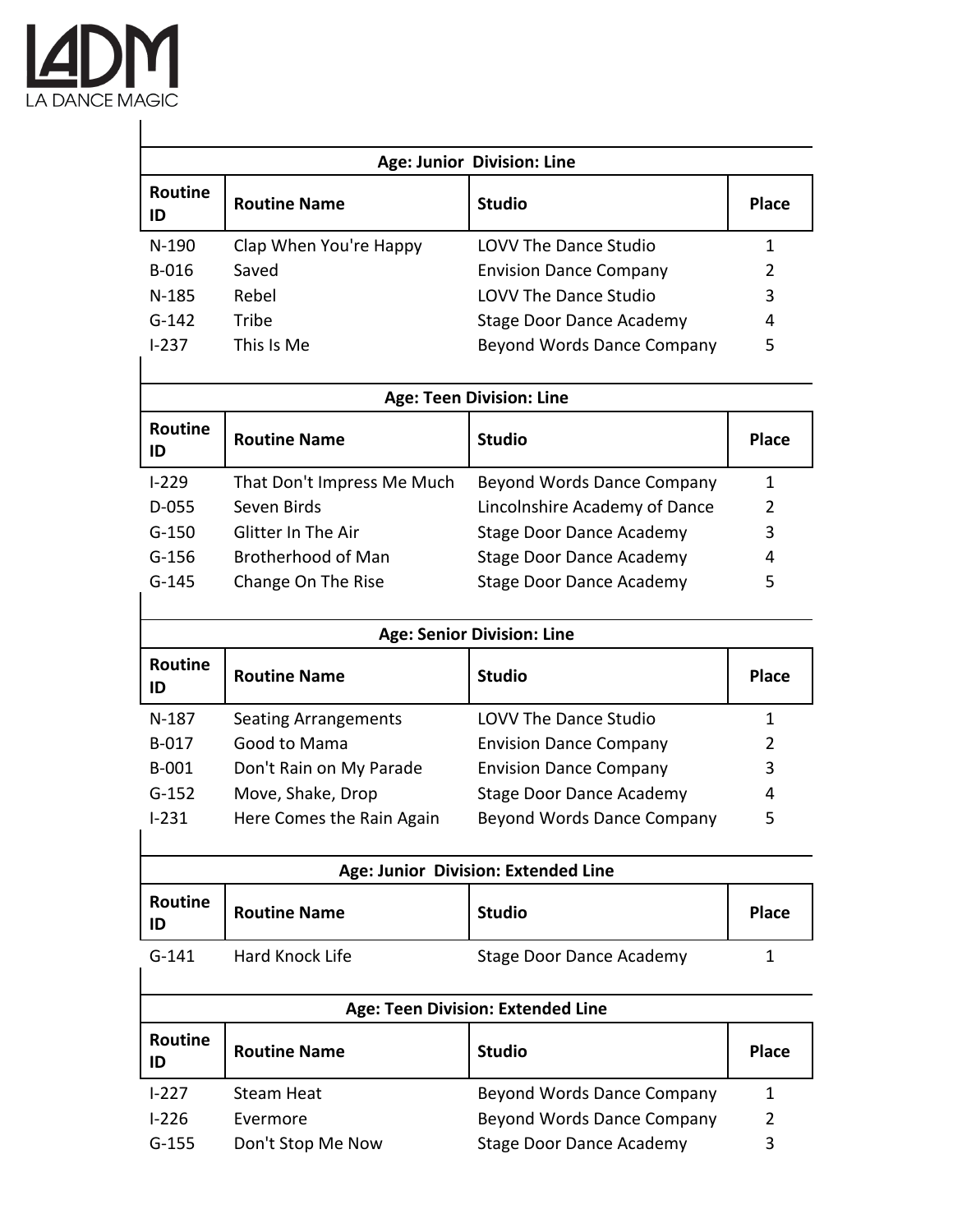

| Age: Junior Division: Line |                             |                                     |                |  |
|----------------------------|-----------------------------|-------------------------------------|----------------|--|
| <b>Routine</b><br>ID       | <b>Routine Name</b>         | <b>Studio</b>                       | <b>Place</b>   |  |
| $N-190$                    | Clap When You're Happy      | <b>LOVV The Dance Studio</b>        | 1              |  |
| B-016                      | Saved                       | <b>Envision Dance Company</b>       | $\overline{2}$ |  |
| $N-185$                    | Rebel                       | <b>LOVV The Dance Studio</b>        | 3              |  |
| $G-142$                    | Tribe                       | <b>Stage Door Dance Academy</b>     | 4              |  |
| $1-237$                    | This Is Me                  | <b>Beyond Words Dance Company</b>   | 5              |  |
|                            |                             | <b>Age: Teen Division: Line</b>     |                |  |
| <b>Routine</b><br>ID       | <b>Routine Name</b>         | <b>Studio</b>                       | <b>Place</b>   |  |
| $1-229$                    | That Don't Impress Me Much  | Beyond Words Dance Company          | 1              |  |
| D-055                      | Seven Birds                 | Lincolnshire Academy of Dance       | 2              |  |
| $G-150$                    | Glitter In The Air          | <b>Stage Door Dance Academy</b>     | 3              |  |
| $G-156$                    | <b>Brotherhood of Man</b>   | <b>Stage Door Dance Academy</b>     | 4              |  |
| $G-145$                    | Change On The Rise          | <b>Stage Door Dance Academy</b>     | 5              |  |
|                            |                             | <b>Age: Senior Division: Line</b>   |                |  |
| Routine<br>ID              | <b>Routine Name</b>         | <b>Studio</b>                       | <b>Place</b>   |  |
| $N-187$                    | <b>Seating Arrangements</b> | <b>LOVV The Dance Studio</b>        | 1              |  |
| $B-017$                    | Good to Mama                | <b>Envision Dance Company</b>       | 2              |  |
| B-001                      | Don't Rain on My Parade     | <b>Envision Dance Company</b>       | 3              |  |
| $G-152$                    | Move, Shake, Drop           | <b>Stage Door Dance Academy</b>     | 4              |  |
| $1 - 231$                  | Here Comes the Rain Again   | Beyond Words Dance Company          | 5              |  |
|                            |                             | Age: Junior Division: Extended Line |                |  |
| Routine<br>ID              | <b>Routine Name</b>         | <b>Studio</b>                       | <b>Place</b>   |  |
| $G-141$                    | Hard Knock Life             | <b>Stage Door Dance Academy</b>     | $\mathbf{1}$   |  |
|                            |                             | Age: Teen Division: Extended Line   |                |  |
| Routine<br>ID              | <b>Routine Name</b>         | <b>Studio</b>                       | <b>Place</b>   |  |
| $1-227$                    | <b>Steam Heat</b>           | Beyond Words Dance Company          | 1              |  |
| $I-226$                    | Evermore                    | Beyond Words Dance Company          | $\overline{2}$ |  |
| $G-155$                    | Don't Stop Me Now           | <b>Stage Door Dance Academy</b>     | 3              |  |